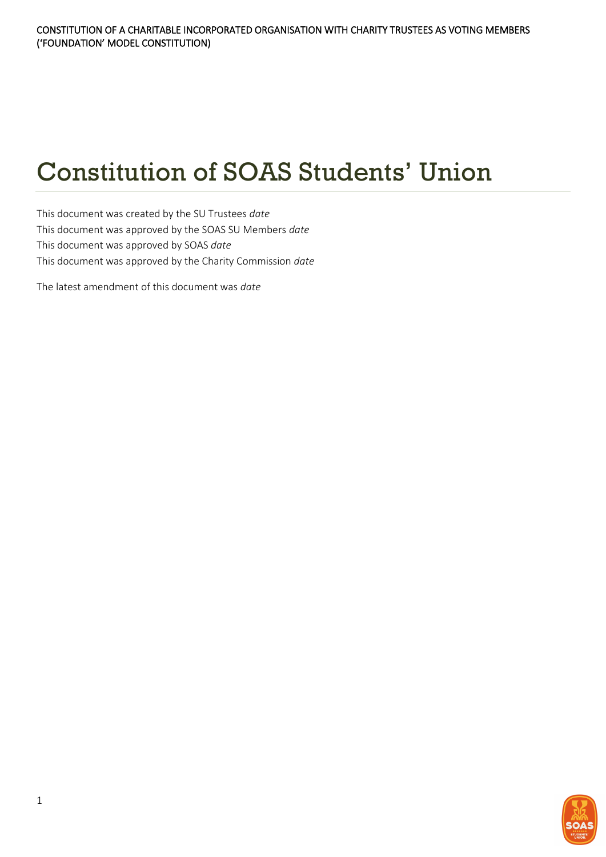# Constitution of SOAS Students' Union

This document was created by the SU Trustees *date* This document was approved by the SOAS SU Members *date* This document was approved by SOAS *date* This document was approved by the Charity Commission *date*

The latest amendment of this document was *date*

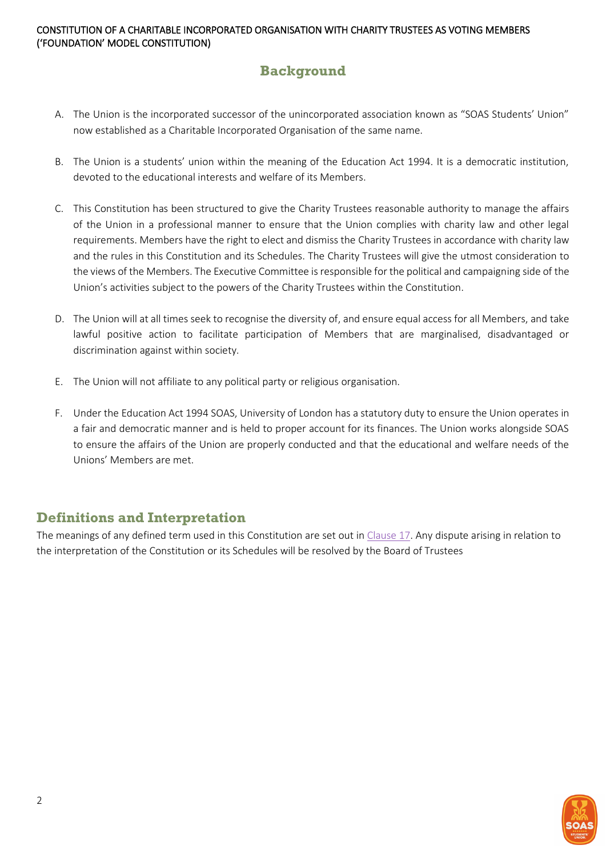# <span id="page-1-0"></span>**Background**

- A. The Union is the incorporated successor of the unincorporated association known as "SOAS Students' Union" now established as a Charitable Incorporated Organisation of the same name.
- B. The Union is a students' union within the meaning of the Education Act 1994. It is a democratic institution, devoted to the educational interests and welfare of its Members.
- C. This Constitution has been structured to give the Charity Trustees reasonable authority to manage the affairs of the Union in a professional manner to ensure that the Union complies with charity law and other legal requirements. Members have the right to elect and dismiss the Charity Trustees in accordance with charity law and the rules in this Constitution and its Schedules. The Charity Trustees will give the utmost consideration to the views of the Members. The Executive Committee is responsible for the political and campaigning side of the Union's activities subject to the powers of the Charity Trustees within the Constitution.
- D. The Union will at all times seek to recognise the diversity of, and ensure equal access for all Members, and take lawful positive action to facilitate participation of Members that are marginalised, disadvantaged or discrimination against within society.
- E. The Union will not affiliate to any political party or religious organisation.
- F. Under the Education Act 1994 SOAS, University of London has a statutory duty to ensure the Union operates in a fair and democratic manner and is held to proper account for its finances. The Union works alongside SOAS to ensure the affairs of the Union are properly conducted and that the educational and welfare needs of the Unions' Members are met.

# <span id="page-1-1"></span>**Definitions and Interpretation**

The meanings of any defined term used in this Constitution are set out i[n Clause 17.](#page-27-0) Any dispute arising in relation to the interpretation of the Constitution or its Schedules will be resolved by the Board of Trustees

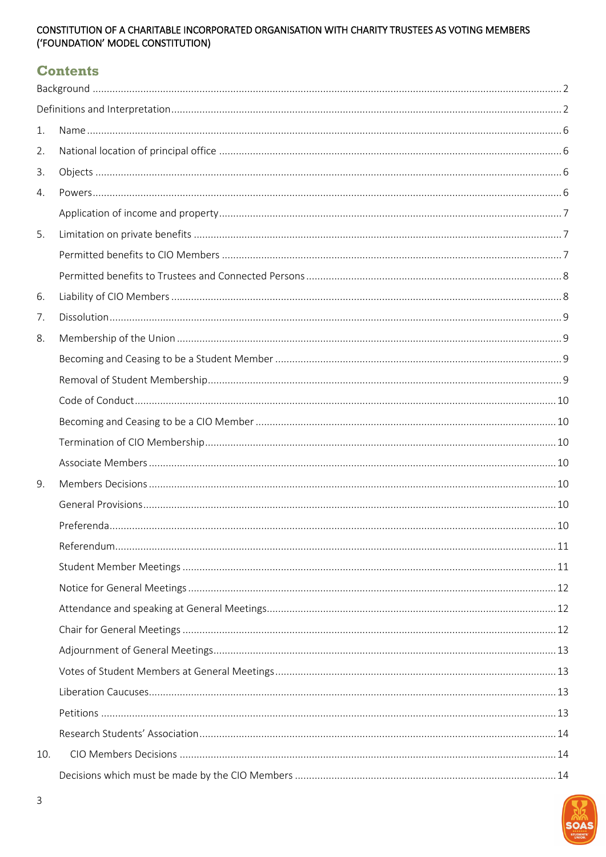# **Contents**

| 1.  |  |
|-----|--|
| 2.  |  |
| 3.  |  |
| 4.  |  |
|     |  |
| 5.  |  |
|     |  |
|     |  |
| 6.  |  |
| 7.  |  |
| 8.  |  |
|     |  |
|     |  |
|     |  |
|     |  |
|     |  |
|     |  |
| 9.  |  |
|     |  |
|     |  |
|     |  |
|     |  |
|     |  |
|     |  |
|     |  |
|     |  |
|     |  |
|     |  |
|     |  |
|     |  |
| 10. |  |
|     |  |

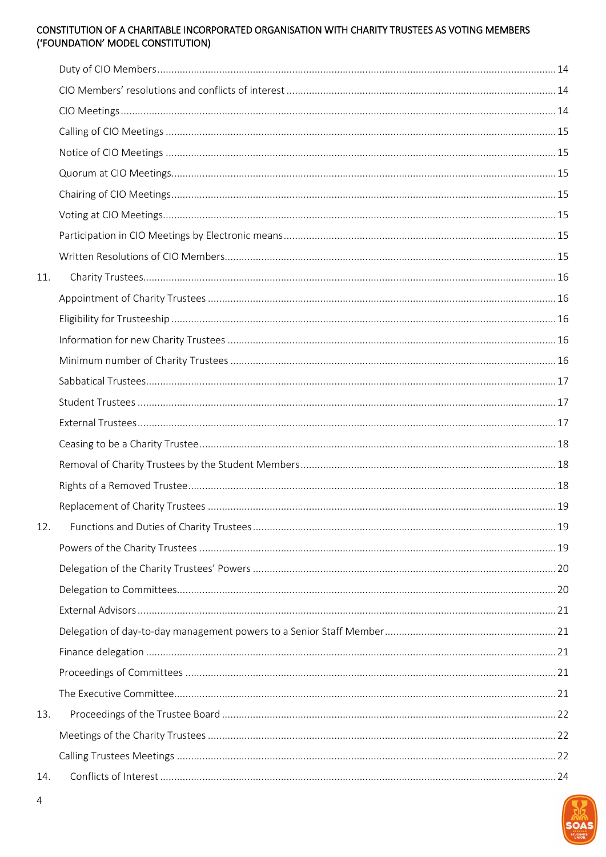| 11. |  |
|-----|--|
|     |  |
|     |  |
|     |  |
|     |  |
|     |  |
|     |  |
|     |  |
|     |  |
|     |  |
|     |  |
|     |  |
| 12. |  |
|     |  |
|     |  |
|     |  |
|     |  |
|     |  |
|     |  |
|     |  |
|     |  |
| 13. |  |
|     |  |
|     |  |
| 14. |  |

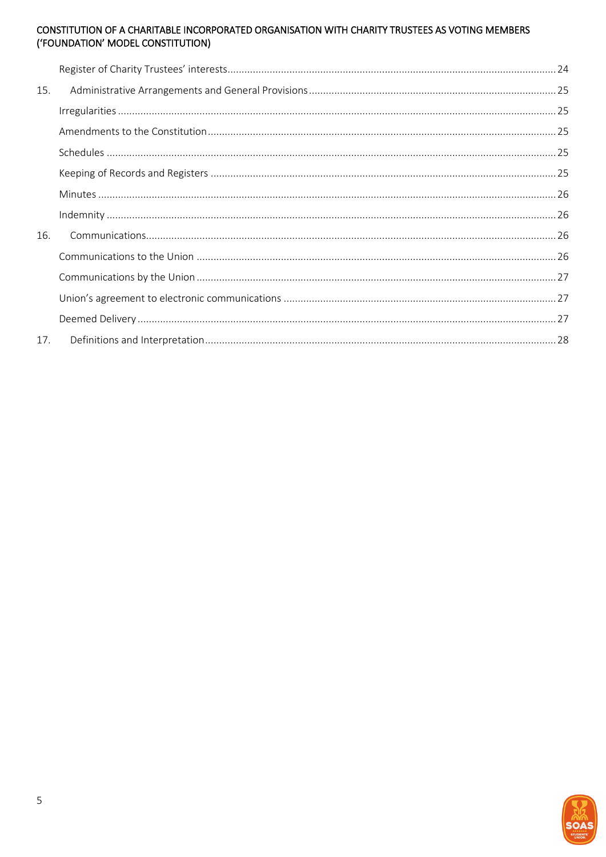| 15. |  |
|-----|--|
|     |  |
|     |  |
|     |  |
|     |  |
|     |  |
|     |  |
| 16. |  |
|     |  |
|     |  |
|     |  |
|     |  |
| 17. |  |

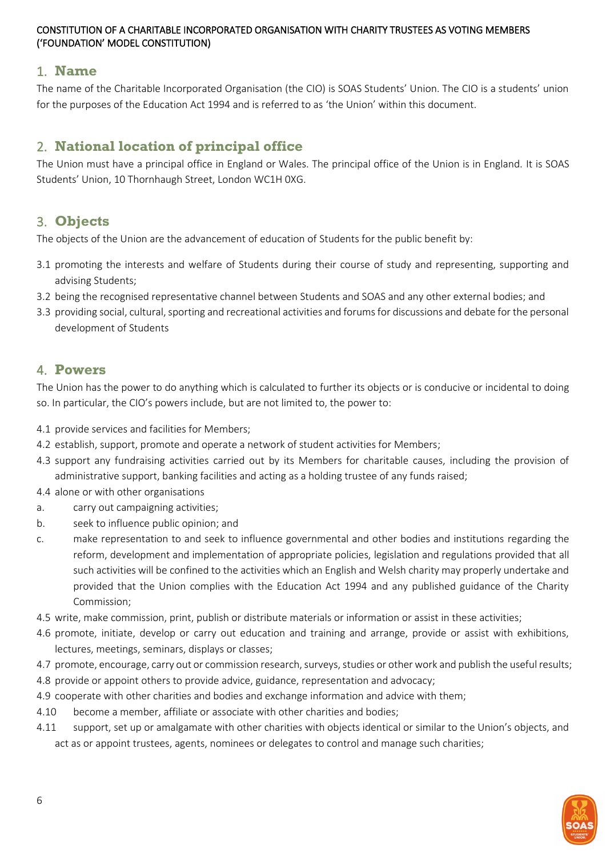# <span id="page-5-0"></span>1. **Name**

The name of the Charitable Incorporated Organisation (the CIO) is SOAS Students' Union. The CIO is a students' union for the purposes of the Education Act 1994 and is referred to as 'the Union' within this document.

# <span id="page-5-1"></span>2. **National location of principal office**

The Union must have a principal office in England or Wales. The principal office of the Union is in England. It is SOAS Students' Union, 10 Thornhaugh Street, London WC1H 0XG.

# <span id="page-5-2"></span>3. **Objects**

The objects of the Union are the advancement of education of Students for the public benefit by:

- 3.1 promoting the interests and welfare of Students during their course of study and representing, supporting and advising Students;
- 3.2 being the recognised representative channel between Students and SOAS and any other external bodies; and
- 3.3 providing social, cultural, sporting and recreational activities and forums for discussions and debate for the personal development of Students

# <span id="page-5-3"></span>4. **Powers**

The Union has the power to do anything which is calculated to further its objects or is conducive or incidental to doing so. In particular, the CIO's powers include, but are not limited to, the power to:

- 4.1 provide services and facilities for Members;
- 4.2 establish, support, promote and operate a network of student activities for Members;
- 4.3 support any fundraising activities carried out by its Members for charitable causes, including the provision of administrative support, banking facilities and acting as a holding trustee of any funds raised;
- 4.4 alone or with other organisations
- a. carry out campaigning activities;
- b. seek to influence public opinion; and
- c. make representation to and seek to influence governmental and other bodies and institutions regarding the reform, development and implementation of appropriate policies, legislation and regulations provided that all such activities will be confined to the activities which an English and Welsh charity may properly undertake and provided that the Union complies with the Education Act 1994 and any published guidance of the Charity Commission;
- 4.5 write, make commission, print, publish or distribute materials or information or assist in these activities;
- 4.6 promote, initiate, develop or carry out education and training and arrange, provide or assist with exhibitions, lectures, meetings, seminars, displays or classes;
- 4.7 promote, encourage, carry out or commission research, surveys, studies or other work and publish the useful results;
- 4.8 provide or appoint others to provide advice, guidance, representation and advocacy;
- 4.9 cooperate with other charities and bodies and exchange information and advice with them;
- 4.10 become a member, affiliate or associate with other charities and bodies;
- 4.11 support, set up or amalgamate with other charities with objects identical or similar to the Union's objects, and act as or appoint trustees, agents, nominees or delegates to control and manage such charities;

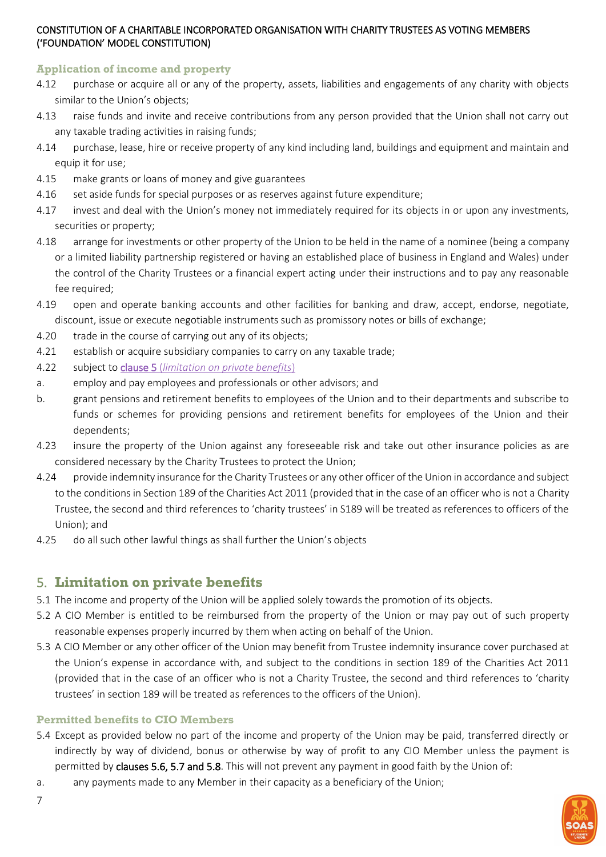#### <span id="page-6-0"></span>**Application of income and property**

- 4.12 purchase or acquire all or any of the property, assets, liabilities and engagements of any charity with objects similar to the Union's objects:
- 4.13 raise funds and invite and receive contributions from any person provided that the Union shall not carry out any taxable trading activities in raising funds;
- 4.14 purchase, lease, hire or receive property of any kind including land, buildings and equipment and maintain and equip it for use;
- 4.15 make grants or loans of money and give guarantees
- 4.16 set aside funds for special purposes or as reserves against future expenditure;
- 4.17 invest and deal with the Union's money not immediately required for its objects in or upon any investments, securities or property;
- 4.18 arrange for investments or other property of the Union to be held in the name of a nominee (being a company or a limited liability partnership registered or having an established place of business in England and Wales) under the control of the Charity Trustees or a financial expert acting under their instructions and to pay any reasonable fee required;
- 4.19 open and operate banking accounts and other facilities for banking and draw, accept, endorse, negotiate, discount, issue or execute negotiable instruments such as promissory notes or bills of exchange;
- 4.20 trade in the course of carrying out any of its objects;
- 4.21 establish or acquire subsidiary companies to carry on any taxable trade;
- 4.22 subject to clause 5 (*[limitation on private benefits](#page-6-1)*)
- a. employ and pay employees and professionals or other advisors; and
- b. grant pensions and retirement benefits to employees of the Union and to their departments and subscribe to funds or schemes for providing pensions and retirement benefits for employees of the Union and their dependents;
- 4.23 insure the property of the Union against any foreseeable risk and take out other insurance policies as are considered necessary by the Charity Trustees to protect the Union;
- 4.24 provide indemnity insurance for the Charity Trustees or any other officer of the Union in accordance and subject to the conditions in Section 189 of the Charities Act 2011 (provided that in the case of an officer who is not a Charity Trustee, the second and third references to 'charity trustees' in S189 will be treated as references to officers of the Union); and
- 4.25 do all such other lawful things as shall further the Union's objects

# <span id="page-6-1"></span>5. **Limitation on private benefits**

- 5.1 The income and property of the Union will be applied solely towards the promotion of its objects.
- 5.2 A CIO Member is entitled to be reimbursed from the property of the Union or may pay out of such property reasonable expenses properly incurred by them when acting on behalf of the Union.
- 5.3 A CIO Member or any other officer of the Union may benefit from Trustee indemnity insurance cover purchased at the Union's expense in accordance with, and subject to the conditions in section 189 of the Charities Act 2011 (provided that in the case of an officer who is not a Charity Trustee, the second and third references to 'charity trustees' in section 189 will be treated as references to the officers of the Union).

# <span id="page-6-2"></span>**Permitted benefits to CIO Members**

- 5.4 Except as provided below no part of the income and property of the Union may be paid, transferred directly or indirectly by way of dividend, bonus or otherwise by way of profit to any CIO Member unless the payment is permitted by clauses 5.6, 5.7 and 5.8. This will not prevent any payment in good faith by the Union of:
- a. any payments made to any Member in their capacity as a beneficiary of the Union;

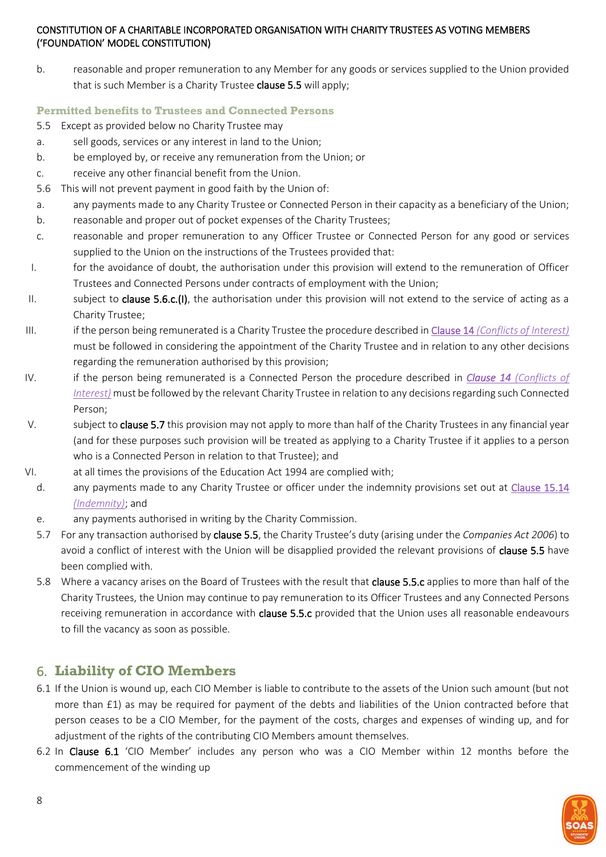b. reasonable and proper remuneration to any Member for any goods or services supplied to the Union provided that is such Member is a Charity Trustee clause 5.5 will apply;

#### <span id="page-7-0"></span>**Permitted benefits to Trustees and Connected Persons**

- 5.5 Except as provided below no Charity Trustee may
- a. sell goods, services or any interest in land to the Union;
- b. be employed by, or receive any remuneration from the Union; or
- c. receive any other financial benefit from the Union.
- 5.6 This will not prevent payment in good faith by the Union of:
- a. any payments made to any Charity Trustee or Connected Person in their capacity as a beneficiary of the Union;
- b. reasonable and proper out of pocket expenses of the Charity Trustees;
- c. reasonable and proper remuneration to any Officer Trustee or Connected Person for any good or services supplied to the Union on the instructions of the Trustees provided that:
- I. for the avoidance of doubt, the authorisation under this provision will extend to the remuneration of Officer Trustees and Connected Persons under contracts of employment with the Union;
- II. subject to clause 5.6.c.(I), the authorisation under this provision will not extend to the service of acting as a Charity Trustee;
- III. if the person being remunerated is a Charity Trustee the procedure described in Clause 14 *[\(Conflicts of Interest\)](#page-23-0)* must be followed in considering the appointment of the Charity Trustee and in relation to any other decisions regarding the remuneration authorised by this provision;
- IV. if the person being remunerated is a Connected Person the procedure described in *Clause 14 [\(Conflicts of](#page-23-0)  [Interest\)](#page-23-0)* must be followed by the relevant Charity Trustee in relation to any decisions regarding such Connected Person;
- V. subject to **clause 5.7** this provision may not apply to more than half of the Charity Trustees in any financial year (and for these purposes such provision will be treated as applying to a Charity Trustee if it applies to a person who is a Connected Person in relation to that Trustee); and
- VI. at all times the provisions of the Education Act 1994 are complied with;
	- d. any payments made to any Charity Trustee or officer under the indemnity provisions set out at [Clause 15.14](#page-25-1) *[\(Indemnity\)](#page-25-1)*; and
	- e. any payments authorised in writing by the Charity Commission.
	- 5.7 For any transaction authorised by clause 5.5, the Charity Trustee's duty (arising under the *Companies Act 2006*) to avoid a conflict of interest with the Union will be disapplied provided the relevant provisions of clause 5.5 have been complied with.
	- 5.8 Where a vacancy arises on the Board of Trustees with the result that clause 5.5.c applies to more than half of the Charity Trustees, the Union may continue to pay remuneration to its Officer Trustees and any Connected Persons receiving remuneration in accordance with clause 5.5.c provided that the Union uses all reasonable endeavours to fill the vacancy as soon as possible.

# <span id="page-7-1"></span>6. **Liability of CIO Members**

- 6.1 If the Union is wound up, each CIO Member is liable to contribute to the assets of the Union such amount (but not more than £1) as may be required for payment of the debts and liabilities of the Union contracted before that person ceases to be a CIO Member, for the payment of the costs, charges and expenses of winding up, and for adjustment of the rights of the contributing CIO Members amount themselves.
- 6.2 In Clause 6.1 'CIO Member' includes any person who was a CIO Member within 12 months before the commencement of the winding up

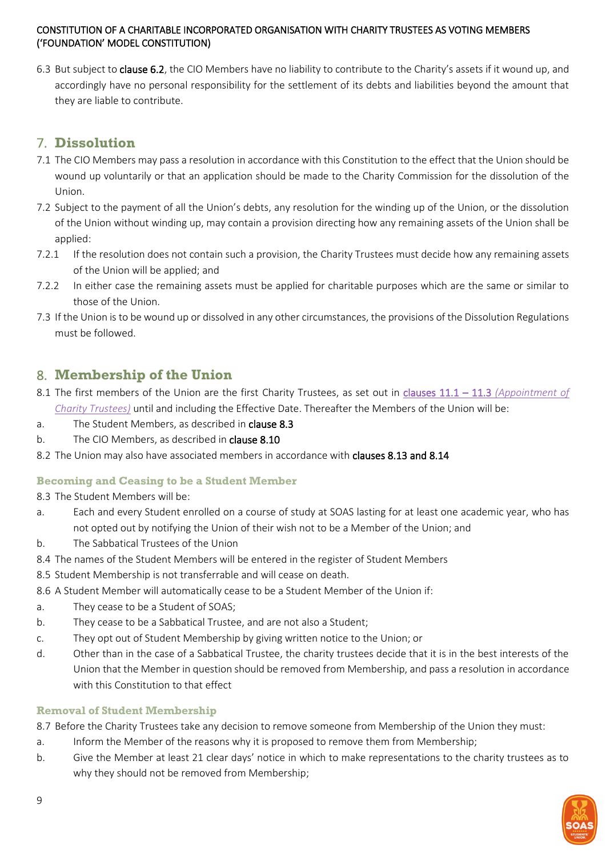6.3 But subject to clause 6.2, the CIO Members have no liability to contribute to the Charity's assets if it wound up, and accordingly have no personal responsibility for the settlement of its debts and liabilities beyond the amount that they are liable to contribute.

# <span id="page-8-0"></span>7. **Dissolution**

- 7.1 The CIO Members may pass a resolution in accordance with this Constitution to the effect that the Union should be wound up voluntarily or that an application should be made to the Charity Commission for the dissolution of the Union.
- 7.2 Subject to the payment of all the Union's debts, any resolution for the winding up of the Union, or the dissolution of the Union without winding up, may contain a provision directing how any remaining assets of the Union shall be applied:
- 7.2.1 If the resolution does not contain such a provision, the Charity Trustees must decide how any remaining assets of the Union will be applied; and
- 7.2.2 In either case the remaining assets must be applied for charitable purposes which are the same or similar to those of the Union.
- 7.3 If the Union is to be wound up or dissolved in any other circumstances, the provisions of the Dissolution Regulations must be followed.

# <span id="page-8-1"></span>8. **Membership of the Union**

- 8.1 The first members of the Union are the first Charity Trustees, as set out in clauses 11.1 11.3 *[\(Appointment of](#page-15-1)  [Charity Trustees\)](#page-15-1)* until and including the Effective Date. Thereafter the Members of the Union will be:
- a. The Student Members, as described in clause 8.3
- b. The CIO Members, as described in **clause 8.10**
- 8.2 The Union may also have associated members in accordance with clauses 8.13 and 8.14

# <span id="page-8-2"></span>**Becoming and Ceasing to be a Student Member**

#### 8.3 The Student Members will be:

- a. Each and every Student enrolled on a course of study at SOAS lasting for at least one academic year, who has not opted out by notifying the Union of their wish not to be a Member of the Union; and
- b. The Sabbatical Trustees of the Union
- 8.4 The names of the Student Members will be entered in the register of Student Members
- 8.5 Student Membership is not transferrable and will cease on death.
- 8.6 A Student Member will automatically cease to be a Student Member of the Union if:
- a. They cease to be a Student of SOAS;
- b. They cease to be a Sabbatical Trustee, and are not also a Student;
- c. They opt out of Student Membership by giving written notice to the Union; or
- d. Other than in the case of a Sabbatical Trustee, the charity trustees decide that it is in the best interests of the Union that the Member in question should be removed from Membership, and pass a resolution in accordance with this Constitution to that effect

# <span id="page-8-3"></span>**Removal of Student Membership**

8.7 Before the Charity Trustees take any decision to remove someone from Membership of the Union they must:

- a. Inform the Member of the reasons why it is proposed to remove them from Membership;
- b. Give the Member at least 21 clear days' notice in which to make representations to the charity trustees as to why they should not be removed from Membership;

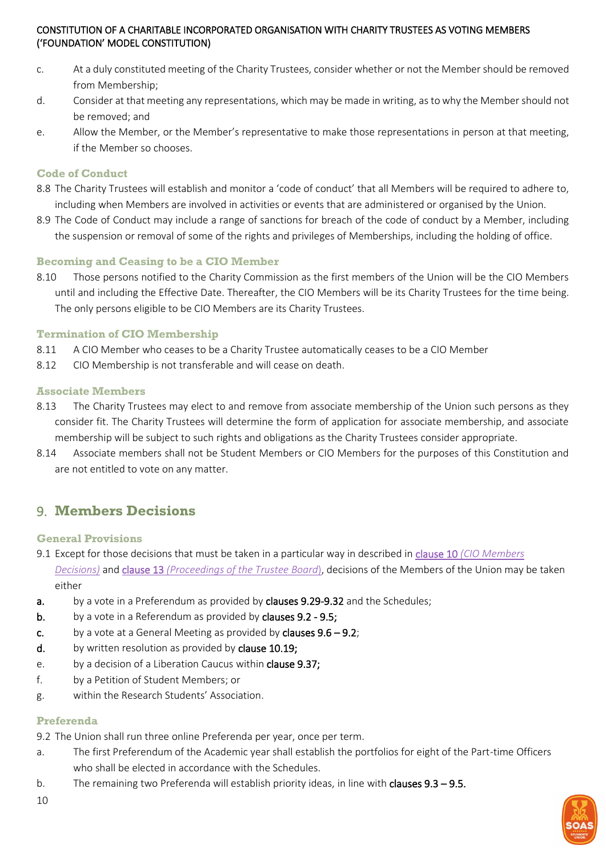- c. At a duly constituted meeting of the Charity Trustees, consider whether or not the Member should be removed from Membership;
- d. Consider at that meeting any representations, which may be made in writing, as to why the Member should not be removed; and
- e. Allow the Member, or the Member's representative to make those representations in person at that meeting, if the Member so chooses.

#### <span id="page-9-0"></span>**Code of Conduct**

- 8.8 The Charity Trustees will establish and monitor a 'code of conduct' that all Members will be required to adhere to, including when Members are involved in activities or events that are administered or organised by the Union.
- 8.9 The Code of Conduct may include a range of sanctions for breach of the code of conduct by a Member, including the suspension or removal of some of the rights and privileges of Memberships, including the holding of office.

# <span id="page-9-1"></span>**Becoming and Ceasing to be a CIO Member**

8.10 Those persons notified to the Charity Commission as the first members of the Union will be the CIO Members until and including the Effective Date. Thereafter, the CIO Members will be its Charity Trustees for the time being. The only persons eligible to be CIO Members are its Charity Trustees.

#### <span id="page-9-2"></span>**Termination of CIO Membership**

- 8.11 A CIO Member who ceases to be a Charity Trustee automatically ceases to be a CIO Member
- 8.12 CIO Membership is not transferable and will cease on death.

#### <span id="page-9-3"></span>**Associate Members**

- 8.13 The Charity Trustees may elect to and remove from associate membership of the Union such persons as they consider fit. The Charity Trustees will determine the form of application for associate membership, and associate membership will be subject to such rights and obligations as the Charity Trustees consider appropriate.
- 8.14 Associate members shall not be Student Members or CIO Members for the purposes of this Constitution and are not entitled to vote on any matter.

# <span id="page-9-4"></span>9. **Members Decisions**

#### <span id="page-9-5"></span>**General Provisions**

- 9.1 Except for those decisions that must be taken in a particular way in described in clause 10 *[\(CIO Members](#page-13-1)  [Decisions\)](#page-13-1)* and clause 13 *[\(Proceedings of the Trustee Board](#page-21-0)*), decisions of the Members of the Union may be taken either
- a. by a vote in a Preferendum as provided by clauses 9.29-9.32 and the Schedules;
- b. by a vote in a Referendum as provided by clauses 9.2 9.5;
- c. by a vote at a General Meeting as provided by clauses  $9.6 9.2$ ;
- d. by written resolution as provided by clause 10.19;
- e. by a decision of a Liberation Caucus within clause 9.37;
- f. by a Petition of Student Members; or
- g. within the Research Students' Association.

#### <span id="page-9-6"></span>**Preferenda**

9.2 The Union shall run three online Preferenda per year, once per term.

- a. The first Preferendum of the Academic year shall establish the portfolios for eight of the Part-time Officers who shall be elected in accordance with the Schedules.
- b. The remaining two Preferenda will establish priority ideas, in line with clauses 9.3 9.5.

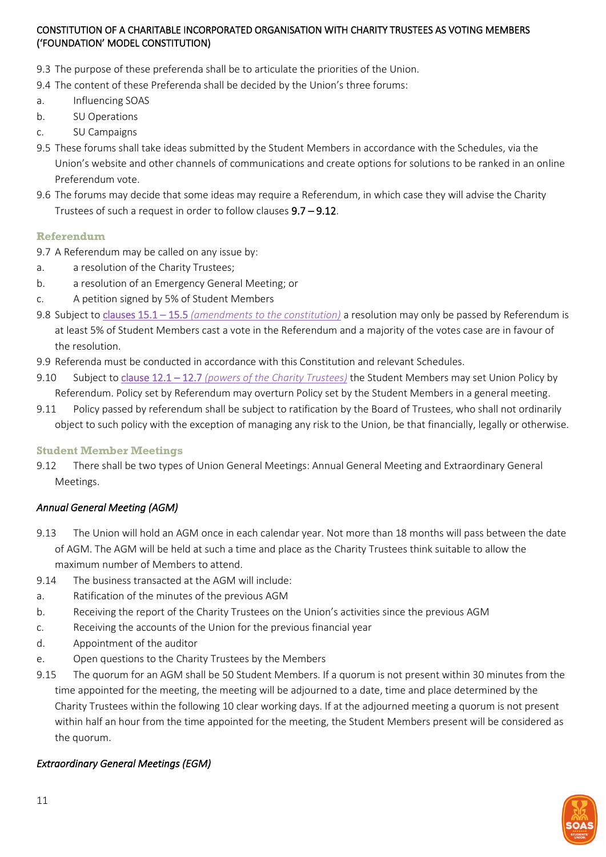- 9.3 The purpose of these preferenda shall be to articulate the priorities of the Union.
- 9.4 The content of these Preferenda shall be decided by the Union's three forums:
- a. Influencing SOAS
- b. SU Operations
- c. SU Campaigns
- 9.5 These forums shall take ideas submitted by the Student Members in accordance with the Schedules, via the Union's website and other channels of communications and create options for solutions to be ranked in an online Preferendum vote.
- 9.6 The forums may decide that some ideas may require a Referendum, in which case they will advise the Charity Trustees of such a request in order to follow clauses 9.7 – 9.12.

#### <span id="page-10-0"></span>**Referendum**

- 9.7 A Referendum may be called on any issue by:
- a. a resolution of the Charity Trustees;
- b. a resolution of an Emergency General Meeting; or
- c. A petition signed by 5% of Student Members
- 9.8 Subject to clauses 15.1 15.5 *[\(amendments to the constitution\)](#page-24-2)* a resolution may only be passed by Referendum is at least 5% of Student Members cast a vote in the Referendum and a majority of the votes case are in favour of the resolution.
- 9.9 Referenda must be conducted in accordance with this Constitution and relevant Schedules.
- 9.10 Subject to clause 12.1 12.7 *[\(powers of the Charity Trustees\)](#page-18-2)* the Student Members may set Union Policy by Referendum. Policy set by Referendum may overturn Policy set by the Student Members in a general meeting.
- 9.11 Policy passed by referendum shall be subject to ratification by the Board of Trustees, who shall not ordinarily object to such policy with the exception of managing any risk to the Union, be that financially, legally or otherwise.

#### <span id="page-10-1"></span>**Student Member Meetings**

9.12 There shall be two types of Union General Meetings: Annual General Meeting and Extraordinary General Meetings.

#### *Annual General Meeting (AGM)*

- 9.13 The Union will hold an AGM once in each calendar year. Not more than 18 months will pass between the date of AGM. The AGM will be held at such a time and place as the Charity Trustees think suitable to allow the maximum number of Members to attend.
- 9.14 The business transacted at the AGM will include:
- a. Ratification of the minutes of the previous AGM
- b. Receiving the report of the Charity Trustees on the Union's activities since the previous AGM
- c. Receiving the accounts of the Union for the previous financial year
- d. Appointment of the auditor
- e. Open questions to the Charity Trustees by the Members
- 9.15 The quorum for an AGM shall be 50 Student Members. If a quorum is not present within 30 minutes from the time appointed for the meeting, the meeting will be adjourned to a date, time and place determined by the Charity Trustees within the following 10 clear working days. If at the adjourned meeting a quorum is not present within half an hour from the time appointed for the meeting, the Student Members present will be considered as the quorum.

# *Extraordinary General Meetings (EGM)*

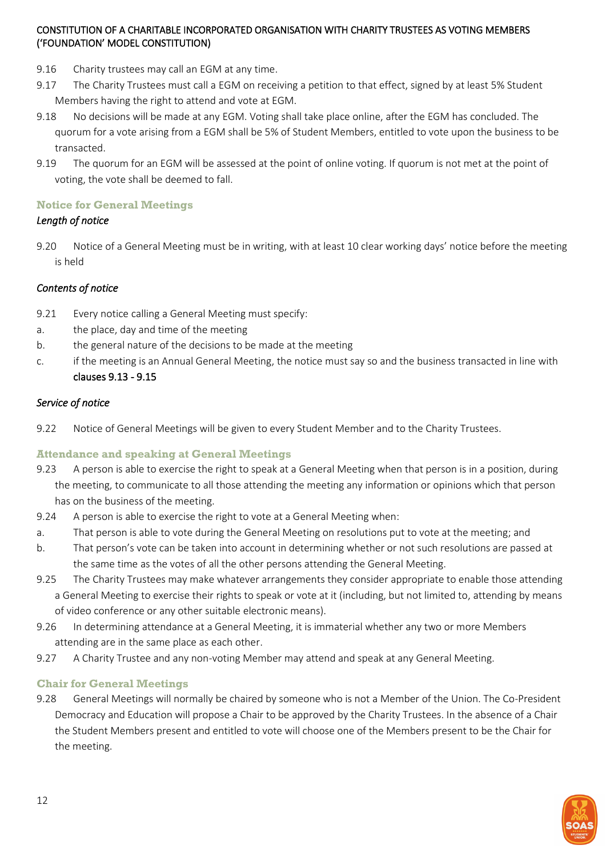- 9.16 Charity trustees may call an EGM at any time.
- 9.17 The Charity Trustees must call a EGM on receiving a petition to that effect, signed by at least 5% Student Members having the right to attend and vote at EGM.
- 9.18 No decisions will be made at any EGM. Voting shall take place online, after the EGM has concluded. The quorum for a vote arising from a EGM shall be 5% of Student Members, entitled to vote upon the business to be transacted.
- 9.19 The quorum for an EGM will be assessed at the point of online voting. If quorum is not met at the point of voting, the vote shall be deemed to fall.

# <span id="page-11-0"></span>**Notice for General Meetings**

# *Length of notice*

9.20 Notice of a General Meeting must be in writing, with at least 10 clear working days' notice before the meeting is held

# *Contents of notice*

- 9.21 Every notice calling a General Meeting must specify:
- a. the place, day and time of the meeting
- b. the general nature of the decisions to be made at the meeting
- c. if the meeting is an Annual General Meeting, the notice must say so and the business transacted in line with clauses 9.13 - 9.15

# *Service of notice*

9.22 Notice of General Meetings will be given to every Student Member and to the Charity Trustees.

# <span id="page-11-1"></span>**Attendance and speaking at General Meetings**

- 9.23 A person is able to exercise the right to speak at a General Meeting when that person is in a position, during the meeting, to communicate to all those attending the meeting any information or opinions which that person has on the business of the meeting.
- 9.24 A person is able to exercise the right to vote at a General Meeting when:
- a. That person is able to vote during the General Meeting on resolutions put to vote at the meeting; and
- b. That person's vote can be taken into account in determining whether or not such resolutions are passed at the same time as the votes of all the other persons attending the General Meeting.
- 9.25 The Charity Trustees may make whatever arrangements they consider appropriate to enable those attending a General Meeting to exercise their rights to speak or vote at it (including, but not limited to, attending by means of video conference or any other suitable electronic means).
- 9.26 In determining attendance at a General Meeting, it is immaterial whether any two or more Members attending are in the same place as each other.
- 9.27 A Charity Trustee and any non-voting Member may attend and speak at any General Meeting.

# <span id="page-11-2"></span>**Chair for General Meetings**

9.28 General Meetings will normally be chaired by someone who is not a Member of the Union. The Co-President Democracy and Education will propose a Chair to be approved by the Charity Trustees. In the absence of a Chair the Student Members present and entitled to vote will choose one of the Members present to be the Chair for the meeting.

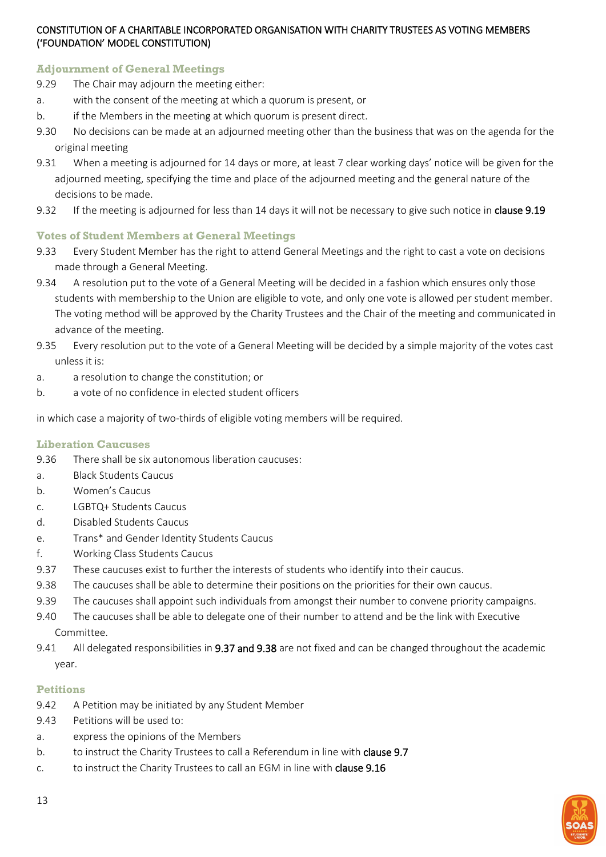### <span id="page-12-0"></span>**Adjournment of General Meetings**

- 9.29 The Chair may adjourn the meeting either:
- a. with the consent of the meeting at which a quorum is present, or
- b. if the Members in the meeting at which quorum is present direct.
- 9.30 No decisions can be made at an adjourned meeting other than the business that was on the agenda for the original meeting
- 9.31 When a meeting is adjourned for 14 days or more, at least 7 clear working days' notice will be given for the adjourned meeting, specifying the time and place of the adjourned meeting and the general nature of the decisions to be made.
- 9.32 If the meeting is adjourned for less than 14 days it will not be necessary to give such notice in clause 9.19

#### <span id="page-12-1"></span>**Votes of Student Members at General Meetings**

- 9.33 Every Student Member has the right to attend General Meetings and the right to cast a vote on decisions made through a General Meeting.
- 9.34 A resolution put to the vote of a General Meeting will be decided in a fashion which ensures only those students with membership to the Union are eligible to vote, and only one vote is allowed per student member. The voting method will be approved by the Charity Trustees and the Chair of the meeting and communicated in advance of the meeting.
- 9.35 Every resolution put to the vote of a General Meeting will be decided by a simple majority of the votes cast unless it is:
- a. a resolution to change the constitution; or
- b. a vote of no confidence in elected student officers

in which case a majority of two-thirds of eligible voting members will be required.

#### <span id="page-12-2"></span>**Liberation Caucuses**

- 9.36 There shall be six autonomous liberation caucuses:
- a. Black Students Caucus
- b. Women's Caucus
- c. LGBTQ+ Students Caucus
- d. Disabled Students Caucus
- e. Trans\* and Gender Identity Students Caucus
- f. Working Class Students Caucus
- 9.37 These caucuses exist to further the interests of students who identify into their caucus.
- 9.38 The caucuses shall be able to determine their positions on the priorities for their own caucus.
- 9.39 The caucuses shall appoint such individuals from amongst their number to convene priority campaigns.
- 9.40 The caucuses shall be able to delegate one of their number to attend and be the link with Executive Committee.
- 9.41 All delegated responsibilities in 9.37 and 9.38 are not fixed and can be changed throughout the academic year.

#### <span id="page-12-3"></span>**Petitions**

- 9.42 A Petition may be initiated by any Student Member
- 9.43 Petitions will be used to:
- a. express the opinions of the Members
- b. to instruct the Charity Trustees to call a Referendum in line with **clause 9.7**
- c. to instruct the Charity Trustees to call an EGM in line with clause 9.16

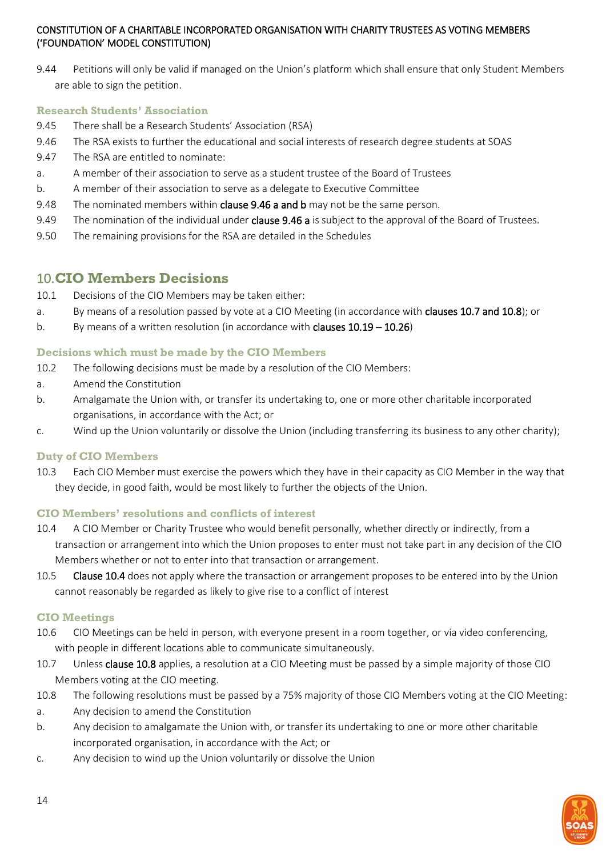9.44 Petitions will only be valid if managed on the Union's platform which shall ensure that only Student Members are able to sign the petition.

#### <span id="page-13-0"></span>**Research Students' Association**

- 9.45 There shall be a Research Students' Association (RSA)
- 9.46 The RSA exists to further the educational and social interests of research degree students at SOAS
- 9.47 The RSA are entitled to nominate:
- a. A member of their association to serve as a student trustee of the Board of Trustees
- b. A member of their association to serve as a delegate to Executive Committee
- 9.48 The nominated members within clause 9.46 a and b may not be the same person.
- 9.49 The nomination of the individual under **clause 9.46 a** is subject to the approval of the Board of Trustees.
- 9.50 The remaining provisions for the RSA are detailed in the Schedules

# <span id="page-13-1"></span>10.**CIO Members Decisions**

- 10.1 Decisions of the CIO Members may be taken either:
- a. By means of a resolution passed by vote at a CIO Meeting (in accordance with **clauses 10.7 and 10.8**); or
- b. By means of a written resolution (in accordance with clauses 10.19 10.26)

#### <span id="page-13-2"></span>**Decisions which must be made by the CIO Members**

- 10.2 The following decisions must be made by a resolution of the CIO Members:
- a. Amend the Constitution
- b. Amalgamate the Union with, or transfer its undertaking to, one or more other charitable incorporated organisations, in accordance with the Act; or
- c. Wind up the Union voluntarily or dissolve the Union (including transferring its business to any other charity);

# <span id="page-13-3"></span>**Duty of CIO Members**

10.3 Each CIO Member must exercise the powers which they have in their capacity as CIO Member in the way that they decide, in good faith, would be most likely to further the objects of the Union.

# <span id="page-13-4"></span>**CIO Members' resolutions and conflicts of interest**

- 10.4 A CIO Member or Charity Trustee who would benefit personally, whether directly or indirectly, from a transaction or arrangement into which the Union proposes to enter must not take part in any decision of the CIO Members whether or not to enter into that transaction or arrangement.
- 10.5 Clause 10.4 does not apply where the transaction or arrangement proposes to be entered into by the Union cannot reasonably be regarded as likely to give rise to a conflict of interest

# <span id="page-13-5"></span>**CIO Meetings**

- 10.6 CIO Meetings can be held in person, with everyone present in a room together, or via video conferencing, with people in different locations able to communicate simultaneously.
- 10.7 Unless clause 10.8 applies, a resolution at a CIO Meeting must be passed by a simple majority of those CIO Members voting at the CIO meeting.
- 10.8 The following resolutions must be passed by a 75% majority of those CIO Members voting at the CIO Meeting:
- a. Any decision to amend the Constitution
- b. Any decision to amalgamate the Union with, or transfer its undertaking to one or more other charitable incorporated organisation, in accordance with the Act; or
- c. Any decision to wind up the Union voluntarily or dissolve the Union

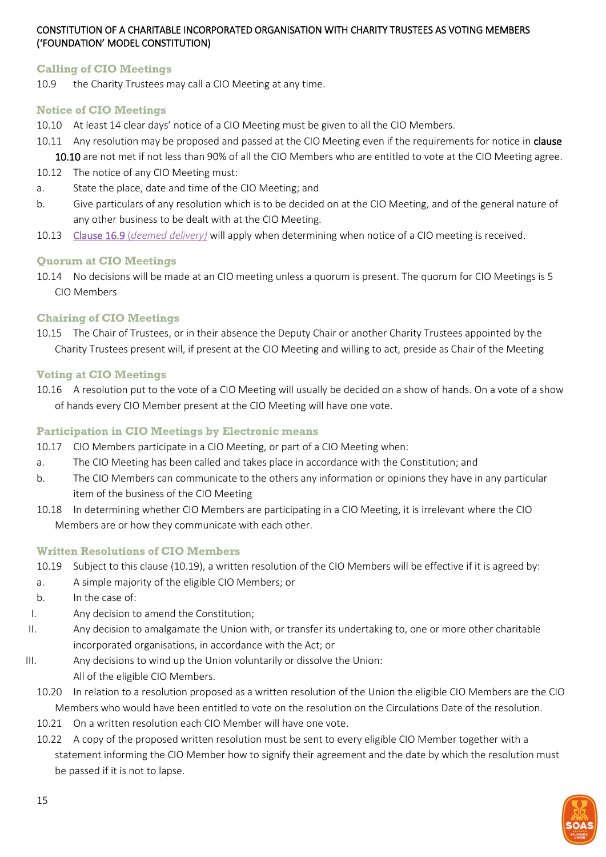#### <span id="page-14-0"></span>**Calling of CIO Meetings**

10.9 the Charity Trustees may call a CIO Meeting at any time.

#### <span id="page-14-1"></span>**Notice of CIO Meetings**

- 10.10 At least 14 clear days' notice of a CIO Meeting must be given to all the CIO Members.
- 10.11 Any resolution may be proposed and passed at the CIO Meeting even if the requirements for notice in clause 10.10 are not met if not less than 90% of all the CIO Members who are entitled to vote at the CIO Meeting agree.
- 10.12 The notice of any CIO Meeting must:
- a. State the place, date and time of the CIO Meeting; and
- b. Give particulars of any resolution which is to be decided on at the CIO Meeting, and of the general nature of any other business to be dealt with at the CIO Meeting.
- 10.13 Clause 16.9 (*[deemed delivery\)](#page-26-2)* will apply when determining when notice of a CIO meeting is received.

# <span id="page-14-2"></span>**Quorum at CIO Meetings**

10.14 No decisions will be made at an CIO meeting unless a quorum is present. The quorum for CIO Meetings is 5 CIO Members

#### <span id="page-14-3"></span>**Chairing of CIO Meetings**

10.15 The Chair of Trustees, or in their absence the Deputy Chair or another Charity Trustees appointed by the Charity Trustees present will, if present at the CIO Meeting and willing to act, preside as Chair of the Meeting

#### <span id="page-14-4"></span>**Voting at CIO Meetings**

10.16 A resolution put to the vote of a CIO Meeting will usually be decided on a show of hands. On a vote of a show of hands every CIO Member present at the CIO Meeting will have one vote.

### <span id="page-14-5"></span>**Participation in CIO Meetings by Electronic means**

- 10.17 CIO Members participate in a CIO Meeting, or part of a CIO Meeting when:
- a. The CIO Meeting has been called and takes place in accordance with the Constitution; and
- b. The CIO Members can communicate to the others any information or opinions they have in any particular item of the business of the CIO Meeting
- 10.18 In determining whether CIO Members are participating in a CIO Meeting, it is irrelevant where the CIO Members are or how they communicate with each other.

#### <span id="page-14-6"></span>**Written Resolutions of CIO Members**

- 10.19 Subject to this clause (10.19), a written resolution of the CIO Members will be effective if it is agreed by:
- a. A simple majority of the eligible CIO Members; or
- b. In the case of:
- I. Any decision to amend the Constitution;
- II. Any decision to amalgamate the Union with, or transfer its undertaking to, one or more other charitable incorporated organisations, in accordance with the Act; or
- III. Any decisions to wind up the Union voluntarily or dissolve the Union: All of the eligible CIO Members.
	- 10.20 In relation to a resolution proposed as a written resolution of the Union the eligible CIO Members are the CIO Members who would have been entitled to vote on the resolution on the Circulations Date of the resolution.
	- 10.21 On a written resolution each CIO Member will have one vote.
	- 10.22 A copy of the proposed written resolution must be sent to every eligible CIO Member together with a statement informing the CIO Member how to signify their agreement and the date by which the resolution must be passed if it is not to lapse.

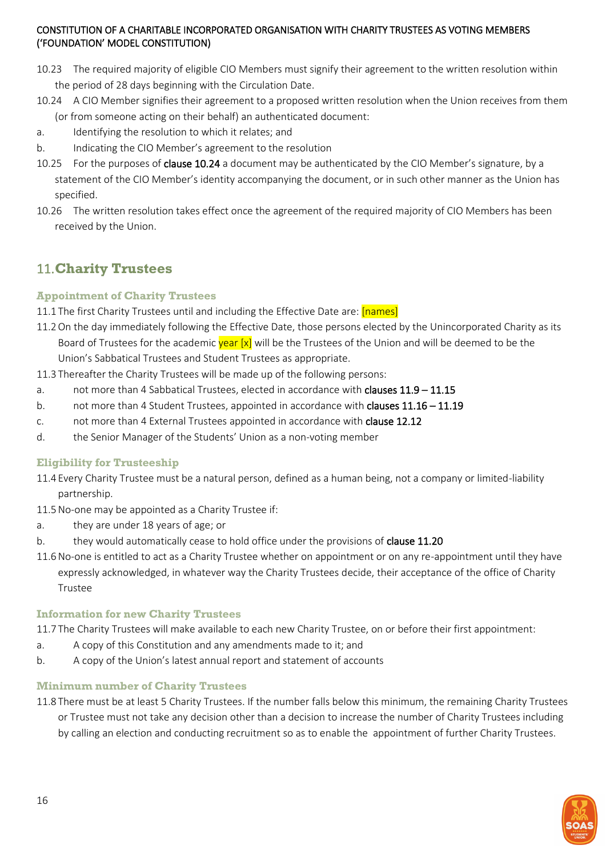- 10.23 The required majority of eligible CIO Members must signify their agreement to the written resolution within the period of 28 days beginning with the Circulation Date.
- 10.24 A CIO Member signifies their agreement to a proposed written resolution when the Union receives from them (or from someone acting on their behalf) an authenticated document:
- a. Identifying the resolution to which it relates; and
- b. Indicating the CIO Member's agreement to the resolution
- 10.25 For the purposes of clause 10.24 a document may be authenticated by the CIO Member's signature, by a statement of the CIO Member's identity accompanying the document, or in such other manner as the Union has specified.
- 10.26 The written resolution takes effect once the agreement of the required majority of CIO Members has been received by the Union.

# <span id="page-15-0"></span>11.**Charity Trustees**

# <span id="page-15-1"></span>**Appointment of Charity Trustees**

- 11.1 The first Charity Trustees until and including the Effective Date are: [names]
- 11.2On the day immediately following the Effective Date, those persons elected by the Unincorporated Charity as its Board of Trustees for the academic vear [x] will be the Trustees of the Union and will be deemed to be the Union's Sabbatical Trustees and Student Trustees as appropriate.
- 11.3 Thereafter the Charity Trustees will be made up of the following persons:
- a. not more than 4 Sabbatical Trustees, elected in accordance with **clauses 11.9 11.15**
- b. not more than 4 Student Trustees, appointed in accordance with clauses 11.16 11.19
- c. not more than 4 External Trustees appointed in accordance with clause 12.12
- d. the Senior Manager of the Students' Union as a non-voting member

# <span id="page-15-2"></span>**Eligibility for Trusteeship**

- 11.4 Every Charity Trustee must be a natural person, defined as a human being, not a company or limited-liability partnership.
- 11.5No-one may be appointed as a Charity Trustee if:
- a. they are under 18 years of age; or
- b. they would automatically cease to hold office under the provisions of clause 11.20
- 11.6No-one is entitled to act as a Charity Trustee whether on appointment or on any re-appointment until they have expressly acknowledged, in whatever way the Charity Trustees decide, their acceptance of the office of Charity Trustee

#### <span id="page-15-3"></span>**Information for new Charity Trustees**

11.7 The Charity Trustees will make available to each new Charity Trustee, on or before their first appointment:

- a. A copy of this Constitution and any amendments made to it; and
- b. A copy of the Union's latest annual report and statement of accounts

#### <span id="page-15-4"></span>**Minimum number of Charity Trustees**

11.8 There must be at least 5 Charity Trustees. If the number falls below this minimum, the remaining Charity Trustees or Trustee must not take any decision other than a decision to increase the number of Charity Trustees including by calling an election and conducting recruitment so as to enable the appointment of further Charity Trustees.

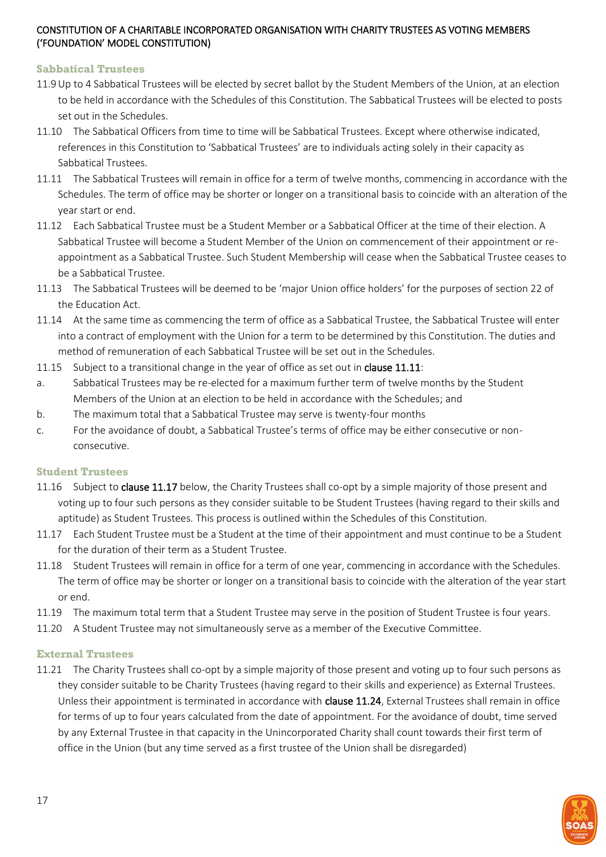### <span id="page-16-0"></span>**Sabbatical Trustees**

- 11.9Up to 4 Sabbatical Trustees will be elected by secret ballot by the Student Members of the Union, at an election to be held in accordance with the Schedules of this Constitution. The Sabbatical Trustees will be elected to posts set out in the Schedules.
- 11.10 The Sabbatical Officers from time to time will be Sabbatical Trustees. Except where otherwise indicated, references in this Constitution to 'Sabbatical Trustees' are to individuals acting solely in their capacity as Sabbatical Trustees.
- 11.11 The Sabbatical Trustees will remain in office for a term of twelve months, commencing in accordance with the Schedules. The term of office may be shorter or longer on a transitional basis to coincide with an alteration of the year start or end.
- 11.12 Each Sabbatical Trustee must be a Student Member or a Sabbatical Officer at the time of their election. A Sabbatical Trustee will become a Student Member of the Union on commencement of their appointment or reappointment as a Sabbatical Trustee. Such Student Membership will cease when the Sabbatical Trustee ceases to be a Sabbatical Trustee.
- 11.13 The Sabbatical Trustees will be deemed to be 'major Union office holders' for the purposes of section 22 of the Education Act.
- 11.14 At the same time as commencing the term of office as a Sabbatical Trustee, the Sabbatical Trustee will enter into a contract of employment with the Union for a term to be determined by this Constitution. The duties and method of remuneration of each Sabbatical Trustee will be set out in the Schedules.
- 11.15 Subject to a transitional change in the year of office as set out in clause 11.11:
- a. Sabbatical Trustees may be re-elected for a maximum further term of twelve months by the Student Members of the Union at an election to be held in accordance with the Schedules; and
- b. The maximum total that a Sabbatical Trustee may serve is twenty-four months
- c. For the avoidance of doubt, a Sabbatical Trustee's terms of office may be either consecutive or nonconsecutive.

#### <span id="page-16-1"></span>**Student Trustees**

- 11.16 Subject to clause 11.17 below, the Charity Trustees shall co-opt by a simple majority of those present and voting up to four such persons as they consider suitable to be Student Trustees (having regard to their skills and aptitude) as Student Trustees. This process is outlined within the Schedules of this Constitution.
- 11.17 Each Student Trustee must be a Student at the time of their appointment and must continue to be a Student for the duration of their term as a Student Trustee.
- 11.18 Student Trustees will remain in office for a term of one year, commencing in accordance with the Schedules. The term of office may be shorter or longer on a transitional basis to coincide with the alteration of the year start or end.
- 11.19 The maximum total term that a Student Trustee may serve in the position of Student Trustee is four years.
- 11.20 A Student Trustee may not simultaneously serve as a member of the Executive Committee.

# <span id="page-16-2"></span>**External Trustees**

11.21 The Charity Trustees shall co-opt by a simple majority of those present and voting up to four such persons as they consider suitable to be Charity Trustees (having regard to their skills and experience) as External Trustees. Unless their appointment is terminated in accordance with clause 11.24, External Trustees shall remain in office for terms of up to four years calculated from the date of appointment. For the avoidance of doubt, time served by any External Trustee in that capacity in the Unincorporated Charity shall count towards their first term of office in the Union (but any time served as a first trustee of the Union shall be disregarded)

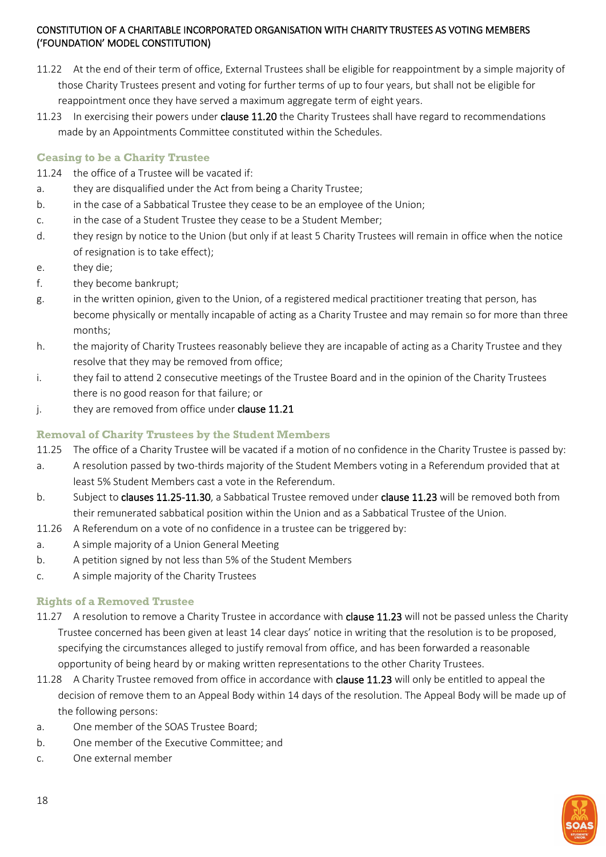- 11.22 At the end of their term of office, External Trustees shall be eligible for reappointment by a simple majority of those Charity Trustees present and voting for further terms of up to four years, but shall not be eligible for reappointment once they have served a maximum aggregate term of eight years.
- 11.23 In exercising their powers under clause 11.20 the Charity Trustees shall have regard to recommendations made by an Appointments Committee constituted within the Schedules.

# <span id="page-17-0"></span>**Ceasing to be a Charity Trustee**

- 11.24 the office of a Trustee will be vacated if:
- a. they are disqualified under the Act from being a Charity Trustee;
- b. in the case of a Sabbatical Trustee they cease to be an employee of the Union;
- c. in the case of a Student Trustee they cease to be a Student Member;
- d. they resign by notice to the Union (but only if at least 5 Charity Trustees will remain in office when the notice of resignation is to take effect);
- e. they die;
- f. they become bankrupt;
- g. in the written opinion, given to the Union, of a registered medical practitioner treating that person, has become physically or mentally incapable of acting as a Charity Trustee and may remain so for more than three months;
- h. the majority of Charity Trustees reasonably believe they are incapable of acting as a Charity Trustee and they resolve that they may be removed from office;
- i. they fail to attend 2 consecutive meetings of the Trustee Board and in the opinion of the Charity Trustees there is no good reason for that failure; or
- j. they are removed from office under clause 11.21

# <span id="page-17-1"></span>**Removal of Charity Trustees by the Student Members**

- 11.25 The office of a Charity Trustee will be vacated if a motion of no confidence in the Charity Trustee is passed by:
- a. A resolution passed by two-thirds majority of the Student Members voting in a Referendum provided that at least 5% Student Members cast a vote in the Referendum.
- b. Subject to clauses 11.25-11.30, a Sabbatical Trustee removed under clause 11.23 will be removed both from their remunerated sabbatical position within the Union and as a Sabbatical Trustee of the Union.
- 11.26 A Referendum on a vote of no confidence in a trustee can be triggered by:
- a. A simple majority of a Union General Meeting
- b. A petition signed by not less than 5% of the Student Members
- c. A simple majority of the Charity Trustees

# <span id="page-17-2"></span>**Rights of a Removed Trustee**

- 11.27 A resolution to remove a Charity Trustee in accordance with clause 11.23 will not be passed unless the Charity Trustee concerned has been given at least 14 clear days' notice in writing that the resolution is to be proposed, specifying the circumstances alleged to justify removal from office, and has been forwarded a reasonable opportunity of being heard by or making written representations to the other Charity Trustees.
- 11.28 A Charity Trustee removed from office in accordance with clause 11.23 will only be entitled to appeal the decision of remove them to an Appeal Body within 14 days of the resolution. The Appeal Body will be made up of the following persons:
- a. One member of the SOAS Trustee Board;
- b. One member of the Executive Committee; and
- c. One external member

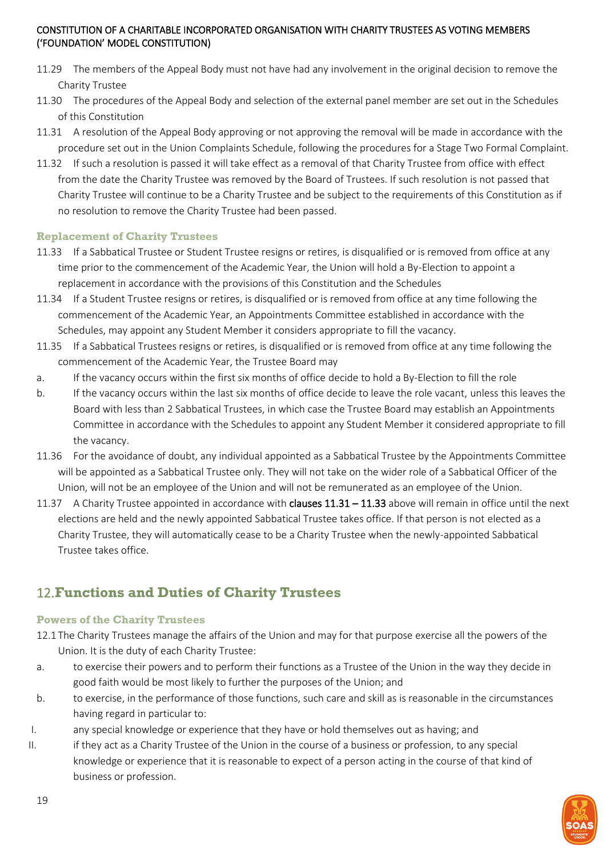- 11.29 The members of the Appeal Body must not have had any involvement in the original decision to remove the Charity Trustee
- 11.30 The procedures of the Appeal Body and selection of the external panel member are set out in the Schedules of this Constitution
- 11.31 A resolution of the Appeal Body approving or not approving the removal will be made in accordance with the procedure set out in the Union Complaints Schedule, following the procedures for a Stage Two Formal Complaint.
- 11.32 If such a resolution is passed it will take effect as a removal of that Charity Trustee from office with effect from the date the Charity Trustee was removed by the Board of Trustees. If such resolution is not passed that Charity Trustee will continue to be a Charity Trustee and be subject to the requirements of this Constitution as if no resolution to remove the Charity Trustee had been passed.

#### <span id="page-18-0"></span>**Replacement of Charity Trustees**

- 11.33 If a Sabbatical Trustee or Student Trustee resigns or retires, is disqualified or is removed from office at any time prior to the commencement of the Academic Year, the Union will hold a By-Election to appoint a replacement in accordance with the provisions of this Constitution and the Schedules
- 11.34 If a Student Trustee resigns or retires, is disqualified or is removed from office at any time following the commencement of the Academic Year, an Appointments Committee established in accordance with the Schedules, may appoint any Student Member it considers appropriate to fill the vacancy.
- 11.35 If a Sabbatical Trustees resigns or retires, is disqualified or is removed from office at any time following the commencement of the Academic Year, the Trustee Board may
- a. If the vacancy occurs within the first six months of office decide to hold a By-Election to fill the role
- b. If the vacancy occurs within the last six months of office decide to leave the role vacant, unless this leaves the Board with less than 2 Sabbatical Trustees, in which case the Trustee Board may establish an Appointments Committee in accordance with the Schedules to appoint any Student Member it considered appropriate to fill the vacancy.
- 11.36 For the avoidance of doubt, any individual appointed as a Sabbatical Trustee by the Appointments Committee will be appointed as a Sabbatical Trustee only. They will not take on the wider role of a Sabbatical Officer of the Union, will not be an employee of the Union and will not be remunerated as an employee of the Union.
- 11.37 A Charity Trustee appointed in accordance with clauses  $11.31 11.33$  above will remain in office until the next elections are held and the newly appointed Sabbatical Trustee takes office. If that person is not elected as a Charity Trustee, they will automatically cease to be a Charity Trustee when the newly-appointed Sabbatical Trustee takes office.

# <span id="page-18-1"></span>12.**Functions and Duties of Charity Trustees**

# <span id="page-18-2"></span>**Powers of the Charity Trustees**

- 12.1 The Charity Trustees manage the affairs of the Union and may for that purpose exercise all the powers of the Union. It is the duty of each Charity Trustee:
- a. to exercise their powers and to perform their functions as a Trustee of the Union in the way they decide in good faith would be most likely to further the purposes of the Union; and
- b. to exercise, in the performance of those functions, such care and skill as is reasonable in the circumstances having regard in particular to:
- I. any special knowledge or experience that they have or hold themselves out as having; and
- II. if they act as a Charity Trustee of the Union in the course of a business or profession, to any special knowledge or experience that it is reasonable to expect of a person acting in the course of that kind of business or profession.

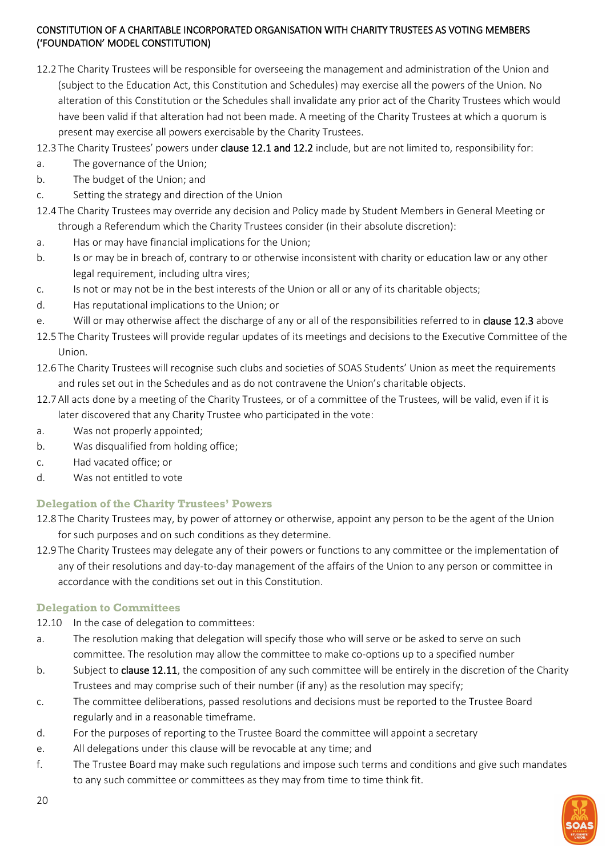- 12.2 The Charity Trustees will be responsible for overseeing the management and administration of the Union and (subject to the Education Act, this Constitution and Schedules) may exercise all the powers of the Union. No alteration of this Constitution or the Schedules shall invalidate any prior act of the Charity Trustees which would have been valid if that alteration had not been made. A meeting of the Charity Trustees at which a quorum is present may exercise all powers exercisable by the Charity Trustees.
- 12.3 The Charity Trustees' powers under clause 12.1 and 12.2 include, but are not limited to, responsibility for:
- a. The governance of the Union;
- b. The budget of the Union; and
- c. Setting the strategy and direction of the Union
- 12.4 The Charity Trustees may override any decision and Policy made by Student Members in General Meeting or through a Referendum which the Charity Trustees consider (in their absolute discretion):
- a. Has or may have financial implications for the Union;
- b. Is or may be in breach of, contrary to or otherwise inconsistent with charity or education law or any other legal requirement, including ultra vires;
- c. Is not or may not be in the best interests of the Union or all or any of its charitable objects;
- d. Has reputational implications to the Union; or
- e. Will or may otherwise affect the discharge of any or all of the responsibilities referred to in clause 12.3 above
- 12.5 The Charity Trustees will provide regular updates of its meetings and decisions to the Executive Committee of the Union.
- 12.6 The Charity Trustees will recognise such clubs and societies of SOAS Students' Union as meet the requirements and rules set out in the Schedules and as do not contravene the Union's charitable objects.
- 12.7All acts done by a meeting of the Charity Trustees, or of a committee of the Trustees, will be valid, even if it is later discovered that any Charity Trustee who participated in the vote:
- a. Was not properly appointed;
- b. Was disqualified from holding office;
- c. Had vacated office; or
- d. Was not entitled to vote

# <span id="page-19-0"></span>**Delegation of the Charity Trustees' Powers**

- 12.8 The Charity Trustees may, by power of attorney or otherwise, appoint any person to be the agent of the Union for such purposes and on such conditions as they determine.
- 12.9 The Charity Trustees may delegate any of their powers or functions to any committee or the implementation of any of their resolutions and day-to-day management of the affairs of the Union to any person or committee in accordance with the conditions set out in this Constitution.

# <span id="page-19-1"></span>**Delegation to Committees**

12.10 In the case of delegation to committees:

- a. The resolution making that delegation will specify those who will serve or be asked to serve on such committee. The resolution may allow the committee to make co-options up to a specified number
- b. Subject to clause 12.11, the composition of any such committee will be entirely in the discretion of the Charity Trustees and may comprise such of their number (if any) as the resolution may specify;
- c. The committee deliberations, passed resolutions and decisions must be reported to the Trustee Board regularly and in a reasonable timeframe.
- d. For the purposes of reporting to the Trustee Board the committee will appoint a secretary
- e. All delegations under this clause will be revocable at any time; and
- f. The Trustee Board may make such regulations and impose such terms and conditions and give such mandates to any such committee or committees as they may from time to time think fit.

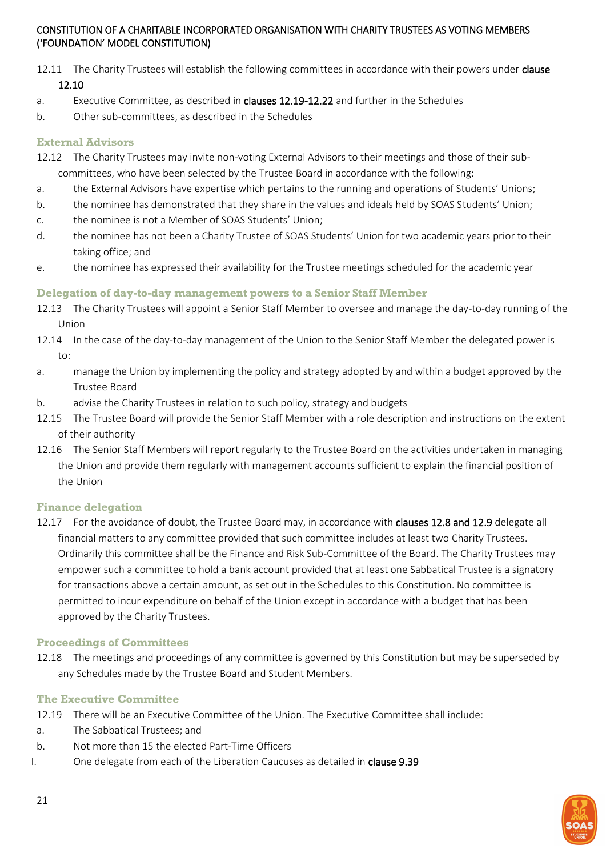- 12.11 The Charity Trustees will establish the following committees in accordance with their powers under clause 12.10
- a. Executive Committee, as described in clauses 12.19-12.22 and further in the Schedules
- b. Other sub-committees, as described in the Schedules

#### <span id="page-20-0"></span>**External Advisors**

- 12.12 The Charity Trustees may invite non-voting External Advisors to their meetings and those of their sub-
- committees, who have been selected by the Trustee Board in accordance with the following:
- a. the External Advisors have expertise which pertains to the running and operations of Students' Unions;
- b. the nominee has demonstrated that they share in the values and ideals held by SOAS Students' Union;
- c. the nominee is not a Member of SOAS Students' Union;
- d. the nominee has not been a Charity Trustee of SOAS Students' Union for two academic years prior to their taking office; and
- e. the nominee has expressed their availability for the Trustee meetings scheduled for the academic year

#### <span id="page-20-1"></span>**Delegation of day-to-day management powers to a Senior Staff Member**

- 12.13 The Charity Trustees will appoint a Senior Staff Member to oversee and manage the day-to-day running of the Union
- 12.14 In the case of the day-to-day management of the Union to the Senior Staff Member the delegated power is to:
- a. manage the Union by implementing the policy and strategy adopted by and within a budget approved by the Trustee Board
- b. advise the Charity Trustees in relation to such policy, strategy and budgets
- 12.15 The Trustee Board will provide the Senior Staff Member with a role description and instructions on the extent of their authority
- 12.16 The Senior Staff Members will report regularly to the Trustee Board on the activities undertaken in managing the Union and provide them regularly with management accounts sufficient to explain the financial position of the Union

#### <span id="page-20-2"></span>**Finance delegation**

12.17 For the avoidance of doubt, the Trustee Board may, in accordance with clauses 12.8 and 12.9 delegate all financial matters to any committee provided that such committee includes at least two Charity Trustees. Ordinarily this committee shall be the Finance and Risk Sub-Committee of the Board. The Charity Trustees may empower such a committee to hold a bank account provided that at least one Sabbatical Trustee is a signatory for transactions above a certain amount, as set out in the Schedules to this Constitution. No committee is permitted to incur expenditure on behalf of the Union except in accordance with a budget that has been approved by the Charity Trustees.

#### <span id="page-20-3"></span>**Proceedings of Committees**

12.18 The meetings and proceedings of any committee is governed by this Constitution but may be superseded by any Schedules made by the Trustee Board and Student Members.

#### <span id="page-20-4"></span>**The Executive Committee**

- 12.19 There will be an Executive Committee of the Union. The Executive Committee shall include:
- a. The Sabbatical Trustees; and
- b. Not more than 15 the elected Part-Time Officers
- I. One delegate from each of the Liberation Caucuses as detailed in clause 9.39

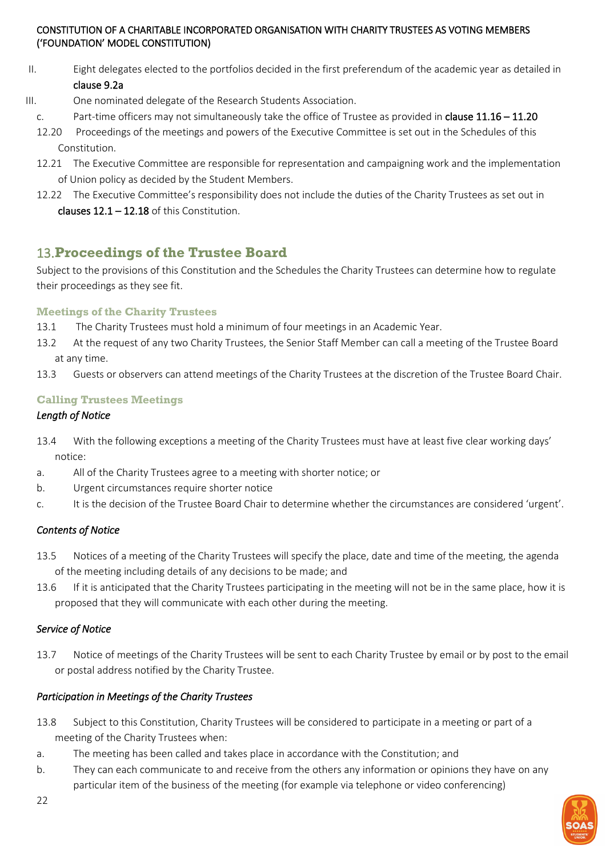- II. Eight delegates elected to the portfolios decided in the first preferendum of the academic year as detailed in clause 9.2a
- III. One nominated delegate of the Research Students Association.
	- c. Part-time officers may not simultaneously take the office of Trustee as provided in **clause 11.16 11.20**
	- 12.20 Proceedings of the meetings and powers of the Executive Committee is set out in the Schedules of this Constitution.
	- 12.21 The Executive Committee are responsible for representation and campaigning work and the implementation of Union policy as decided by the Student Members.
	- 12.22 The Executive Committee's responsibility does not include the duties of the Charity Trustees as set out in clauses  $12.1 - 12.18$  of this Constitution.

# <span id="page-21-0"></span>13.**Proceedings of the Trustee Board**

Subject to the provisions of this Constitution and the Schedules the Charity Trustees can determine how to regulate their proceedings as they see fit.

# <span id="page-21-1"></span>**Meetings of the Charity Trustees**

- 13.1 The Charity Trustees must hold a minimum of four meetings in an Academic Year.
- 13.2 At the request of any two Charity Trustees, the Senior Staff Member can call a meeting of the Trustee Board at any time.
- 13.3 Guests or observers can attend meetings of the Charity Trustees at the discretion of the Trustee Board Chair.

# <span id="page-21-2"></span>**Calling Trustees Meetings**

# *Length of Notice*

- 13.4 With the following exceptions a meeting of the Charity Trustees must have at least five clear working days' notice:
- a. All of the Charity Trustees agree to a meeting with shorter notice; or
- b. Urgent circumstances require shorter notice
- c. It is the decision of the Trustee Board Chair to determine whether the circumstances are considered 'urgent'.

# *Contents of Notice*

- 13.5 Notices of a meeting of the Charity Trustees will specify the place, date and time of the meeting, the agenda of the meeting including details of any decisions to be made; and
- 13.6 If it is anticipated that the Charity Trustees participating in the meeting will not be in the same place, how it is proposed that they will communicate with each other during the meeting.

# *Service of Notice*

13.7 Notice of meetings of the Charity Trustees will be sent to each Charity Trustee by email or by post to the email or postal address notified by the Charity Trustee.

# *Participation in Meetings of the Charity Trustees*

- 13.8 Subject to this Constitution, Charity Trustees will be considered to participate in a meeting or part of a meeting of the Charity Trustees when:
- a. The meeting has been called and takes place in accordance with the Constitution; and
- b. They can each communicate to and receive from the others any information or opinions they have on any particular item of the business of the meeting (for example via telephone or video conferencing)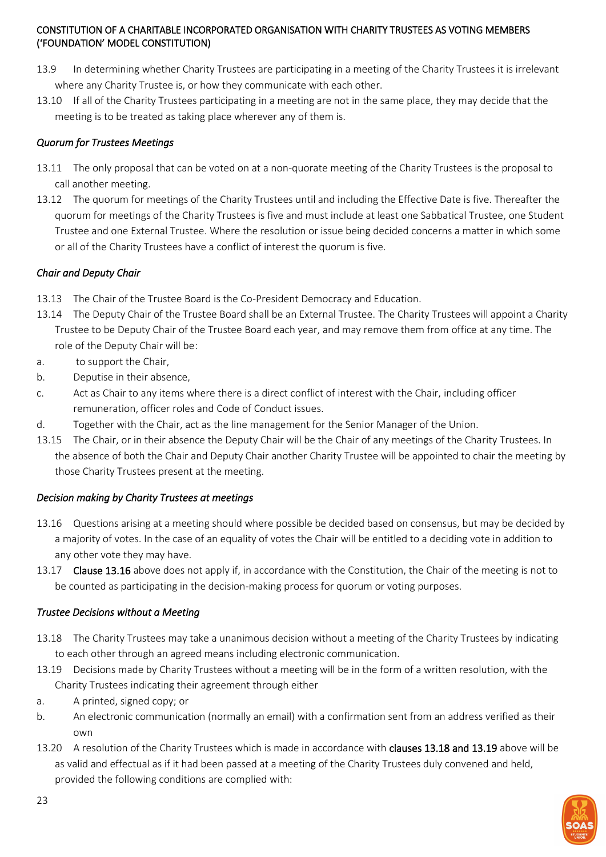- 13.9 In determining whether Charity Trustees are participating in a meeting of the Charity Trustees it is irrelevant where any Charity Trustee is, or how they communicate with each other.
- 13.10 If all of the Charity Trustees participating in a meeting are not in the same place, they may decide that the meeting is to be treated as taking place wherever any of them is.

# *Quorum for Trustees Meetings*

- 13.11 The only proposal that can be voted on at a non-quorate meeting of the Charity Trustees is the proposal to call another meeting.
- 13.12 The quorum for meetings of the Charity Trustees until and including the Effective Date is five. Thereafter the quorum for meetings of the Charity Trustees is five and must include at least one Sabbatical Trustee, one Student Trustee and one External Trustee. Where the resolution or issue being decided concerns a matter in which some or all of the Charity Trustees have a conflict of interest the quorum is five.

# *Chair and Deputy Chair*

- 13.13 The Chair of the Trustee Board is the Co-President Democracy and Education.
- 13.14 The Deputy Chair of the Trustee Board shall be an External Trustee. The Charity Trustees will appoint a Charity Trustee to be Deputy Chair of the Trustee Board each year, and may remove them from office at any time. The role of the Deputy Chair will be:
- a. to support the Chair,
- b. Deputise in their absence,
- c. Act as Chair to any items where there is a direct conflict of interest with the Chair, including officer remuneration, officer roles and Code of Conduct issues.
- d. Together with the Chair, act as the line management for the Senior Manager of the Union.
- 13.15 The Chair, or in their absence the Deputy Chair will be the Chair of any meetings of the Charity Trustees. In the absence of both the Chair and Deputy Chair another Charity Trustee will be appointed to chair the meeting by those Charity Trustees present at the meeting.

# *Decision making by Charity Trustees at meetings*

- 13.16 Questions arising at a meeting should where possible be decided based on consensus, but may be decided by a majority of votes. In the case of an equality of votes the Chair will be entitled to a deciding vote in addition to any other vote they may have.
- 13.17 Clause 13.16 above does not apply if, in accordance with the Constitution, the Chair of the meeting is not to be counted as participating in the decision-making process for quorum or voting purposes.

# *Trustee Decisions without a Meeting*

- 13.18 The Charity Trustees may take a unanimous decision without a meeting of the Charity Trustees by indicating to each other through an agreed means including electronic communication.
- 13.19 Decisions made by Charity Trustees without a meeting will be in the form of a written resolution, with the Charity Trustees indicating their agreement through either
- a. A printed, signed copy; or
- b. An electronic communication (normally an email) with a confirmation sent from an address verified as their own
- 13.20 A resolution of the Charity Trustees which is made in accordance with clauses 13.18 and 13.19 above will be as valid and effectual as if it had been passed at a meeting of the Charity Trustees duly convened and held, provided the following conditions are complied with:

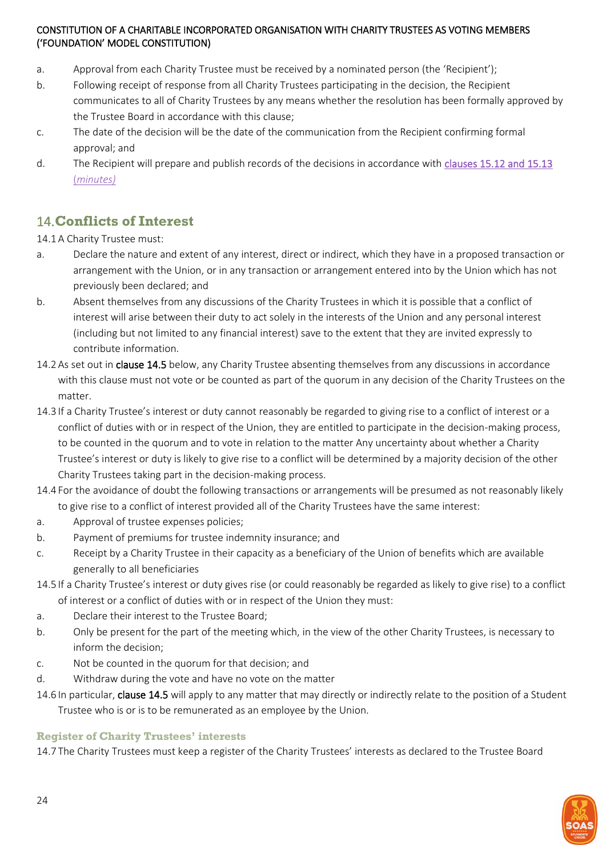- a. Approval from each Charity Trustee must be received by a nominated person (the 'Recipient');
- b. Following receipt of response from all Charity Trustees participating in the decision, the Recipient communicates to all of Charity Trustees by any means whether the resolution has been formally approved by the Trustee Board in accordance with this clause;
- c. The date of the decision will be the date of the communication from the Recipient confirming formal approval; and
- d. The Recipient will prepare and publish records of the decisions in accordance with [clauses 15.12 and 15.13](#page-25-0)  (*[minutes\)](#page-25-0)*

# <span id="page-23-0"></span>14.**Conflicts of Interest**

14.1A Charity Trustee must:

- a. Declare the nature and extent of any interest, direct or indirect, which they have in a proposed transaction or arrangement with the Union, or in any transaction or arrangement entered into by the Union which has not previously been declared; and
- b. Absent themselves from any discussions of the Charity Trustees in which it is possible that a conflict of interest will arise between their duty to act solely in the interests of the Union and any personal interest (including but not limited to any financial interest) save to the extent that they are invited expressly to contribute information.
- 14.2 As set out in **clause 14.5** below, any Charity Trustee absenting themselves from any discussions in accordance with this clause must not vote or be counted as part of the quorum in any decision of the Charity Trustees on the matter.
- 14.3 If a Charity Trustee's interest or duty cannot reasonably be regarded to giving rise to a conflict of interest or a conflict of duties with or in respect of the Union, they are entitled to participate in the decision-making process, to be counted in the quorum and to vote in relation to the matter Any uncertainty about whether a Charity Trustee's interest or duty is likely to give rise to a conflict will be determined by a majority decision of the other Charity Trustees taking part in the decision-making process.
- 14.4 For the avoidance of doubt the following transactions or arrangements will be presumed as not reasonably likely to give rise to a conflict of interest provided all of the Charity Trustees have the same interest:
- a. Approval of trustee expenses policies;
- b. Payment of premiums for trustee indemnity insurance; and
- c. Receipt by a Charity Trustee in their capacity as a beneficiary of the Union of benefits which are available generally to all beneficiaries
- 14.5 If a Charity Trustee's interest or duty gives rise (or could reasonably be regarded as likely to give rise) to a conflict of interest or a conflict of duties with or in respect of the Union they must:
- a. Declare their interest to the Trustee Board;
- b. Only be present for the part of the meeting which, in the view of the other Charity Trustees, is necessary to inform the decision;
- c. Not be counted in the quorum for that decision; and
- d. Withdraw during the vote and have no vote on the matter
- 14.6 In particular, clause 14.5 will apply to any matter that may directly or indirectly relate to the position of a Student Trustee who is or is to be remunerated as an employee by the Union.

#### <span id="page-23-1"></span>**Register of Charity Trustees' interests**

14.7 The Charity Trustees must keep a register of the Charity Trustees' interests as declared to the Trustee Board

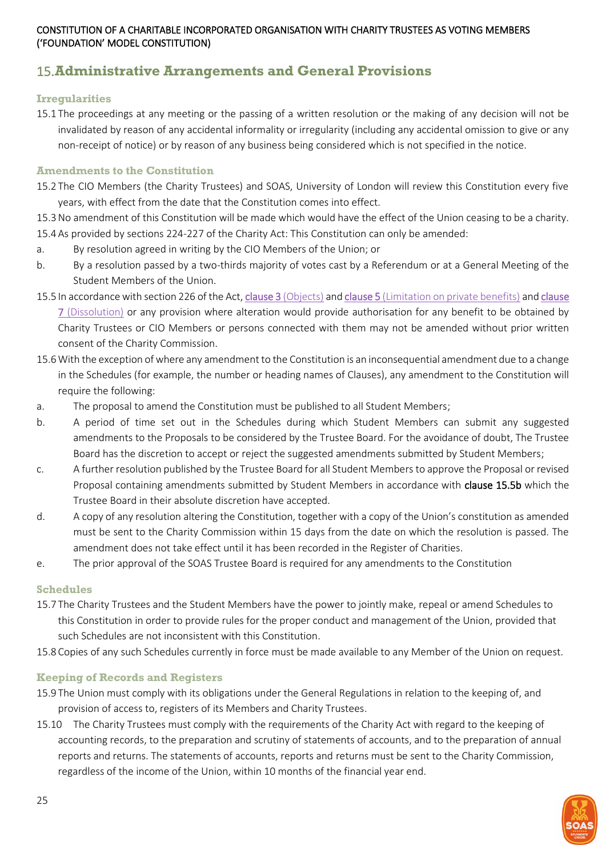# <span id="page-24-0"></span>15.**Administrative Arrangements and General Provisions**

#### <span id="page-24-1"></span>**Irregularities**

15.1 The proceedings at any meeting or the passing of a written resolution or the making of any decision will not be invalidated by reason of any accidental informality or irregularity (including any accidental omission to give or any non-receipt of notice) or by reason of any business being considered which is not specified in the notice.

#### <span id="page-24-2"></span>**Amendments to the Constitution**

- 15.2 The CIO Members (the Charity Trustees) and SOAS, University of London will review this Constitution every five years, with effect from the date that the Constitution comes into effect.
- 15.3No amendment of this Constitution will be made which would have the effect of the Union ceasing to be a charity. 15.4As provided by sections 224-227 of the Charity Act: This Constitution can only be amended:
- a. By resolution agreed in writing by the CIO Members of the Union; or
- b. By a resolution passed by a two-thirds majority of votes cast by a Referendum or at a General Meeting of the Student Members of the Union.
- 15.5 In accordance with section 226 of the Act, clause 3 [\(Objects\)](#page-5-2) and clause 5 [\(Limitation on private benefits\)](#page-6-1) an[d clause](#page-8-0)  7 [\(Dissolution\)](#page-8-0) or any provision where alteration would provide authorisation for any benefit to be obtained by Charity Trustees or CIO Members or persons connected with them may not be amended without prior written consent of the Charity Commission.
- 15.6With the exception of where any amendment to the Constitution is an inconsequential amendment due to a change in the Schedules (for example, the number or heading names of Clauses), any amendment to the Constitution will require the following:
- a. The proposal to amend the Constitution must be published to all Student Members;
- b. A period of time set out in the Schedules during which Student Members can submit any suggested amendments to the Proposals to be considered by the Trustee Board. For the avoidance of doubt, The Trustee Board has the discretion to accept or reject the suggested amendments submitted by Student Members;
- c. A further resolution published by the Trustee Board for all Student Members to approve the Proposal or revised Proposal containing amendments submitted by Student Members in accordance with clause 15.5b which the Trustee Board in their absolute discretion have accepted.
- d. A copy of any resolution altering the Constitution, together with a copy of the Union's constitution as amended must be sent to the Charity Commission within 15 days from the date on which the resolution is passed. The amendment does not take effect until it has been recorded in the Register of Charities.
- e. The prior approval of the SOAS Trustee Board is required for any amendments to the Constitution

# <span id="page-24-3"></span>**Schedules**

- 15.7 The Charity Trustees and the Student Members have the power to jointly make, repeal or amend Schedules to this Constitution in order to provide rules for the proper conduct and management of the Union, provided that such Schedules are not inconsistent with this Constitution.
- 15.8 Copies of any such Schedules currently in force must be made available to any Member of the Union on request.

# <span id="page-24-4"></span>**Keeping of Records and Registers**

- 15.9 The Union must comply with its obligations under the General Regulations in relation to the keeping of, and provision of access to, registers of its Members and Charity Trustees.
- 15.10 The Charity Trustees must comply with the requirements of the Charity Act with regard to the keeping of accounting records, to the preparation and scrutiny of statements of accounts, and to the preparation of annual reports and returns. The statements of accounts, reports and returns must be sent to the Charity Commission, regardless of the income of the Union, within 10 months of the financial year end.

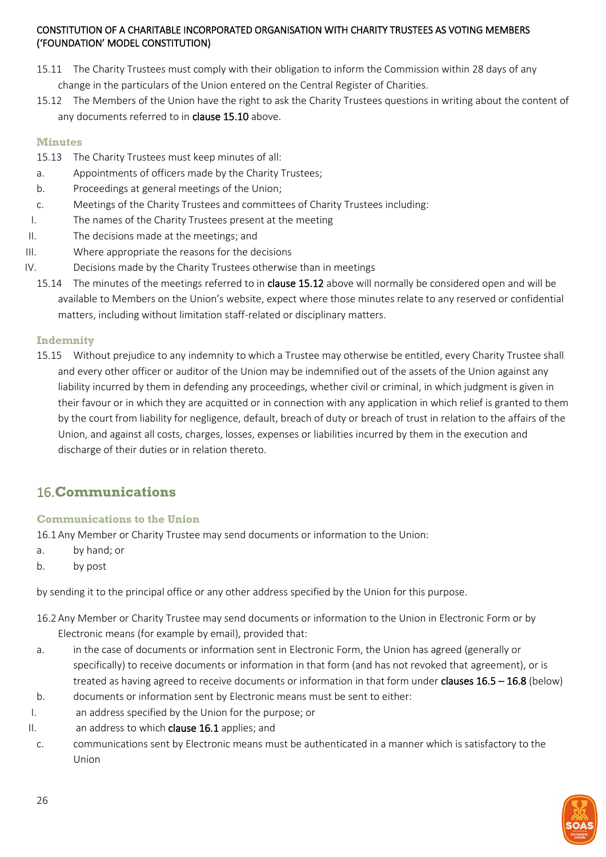- 15.11 The Charity Trustees must comply with their obligation to inform the Commission within 28 days of any change in the particulars of the Union entered on the Central Register of Charities.
- 15.12 The Members of the Union have the right to ask the Charity Trustees questions in writing about the content of any documents referred to in clause 15.10 above.

#### <span id="page-25-0"></span>**Minutes**

- 15.13 The Charity Trustees must keep minutes of all:
- a. Appointments of officers made by the Charity Trustees;
- b. Proceedings at general meetings of the Union;
- c. Meetings of the Charity Trustees and committees of Charity Trustees including:
- I. The names of the Charity Trustees present at the meeting
- II. The decisions made at the meetings; and
- III. Where appropriate the reasons for the decisions
- IV. Decisions made by the Charity Trustees otherwise than in meetings
	- 15.14 The minutes of the meetings referred to in clause 15.12 above will normally be considered open and will be available to Members on the Union's website, expect where those minutes relate to any reserved or confidential matters, including without limitation staff-related or disciplinary matters.

#### <span id="page-25-1"></span>**Indemnity**

15.15 Without prejudice to any indemnity to which a Trustee may otherwise be entitled, every Charity Trustee shall and every other officer or auditor of the Union may be indemnified out of the assets of the Union against any liability incurred by them in defending any proceedings, whether civil or criminal, in which judgment is given in their favour or in which they are acquitted or in connection with any application in which relief is granted to them by the court from liability for negligence, default, breach of duty or breach of trust in relation to the affairs of the Union, and against all costs, charges, losses, expenses or liabilities incurred by them in the execution and discharge of their duties or in relation thereto.

# <span id="page-25-2"></span>16.**Communications**

# <span id="page-25-3"></span>**Communications to the Union**

16.1Any Member or Charity Trustee may send documents or information to the Union:

- a. by hand; or
- b. by post

by sending it to the principal office or any other address specified by the Union for this purpose.

- 16.2Any Member or Charity Trustee may send documents or information to the Union in Electronic Form or by Electronic means (for example by email), provided that:
- a. in the case of documents or information sent in Electronic Form, the Union has agreed (generally or specifically) to receive documents or information in that form (and has not revoked that agreement), or is treated as having agreed to receive documents or information in that form under clauses 16.5 – 16.8 (below)
- b. documents or information sent by Electronic means must be sent to either:
- I. an address specified by the Union for the purpose; or
- II. an address to which clause 16.1 applies; and
- c. communications sent by Electronic means must be authenticated in a manner which is satisfactory to the Union

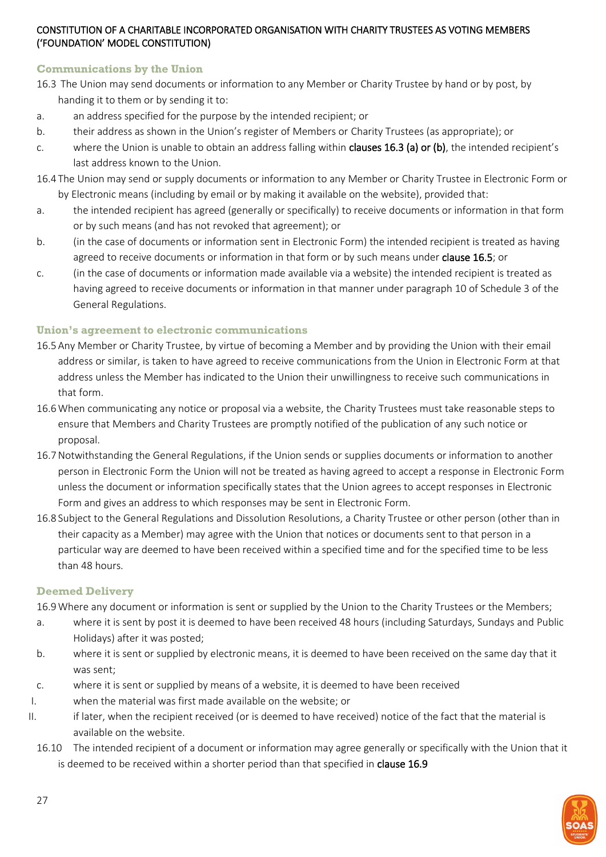# <span id="page-26-0"></span>**Communications by the Union**

- 16.3 The Union may send documents or information to any Member or Charity Trustee by hand or by post, by handing it to them or by sending it to:
- a. an address specified for the purpose by the intended recipient; or
- b. their address as shown in the Union's register of Members or Charity Trustees (as appropriate); or
- c. where the Union is unable to obtain an address falling within clauses 16.3 (a) or (b), the intended recipient's last address known to the Union.
- 16.4 The Union may send or supply documents or information to any Member or Charity Trustee in Electronic Form or by Electronic means (including by email or by making it available on the website), provided that:
- a. the intended recipient has agreed (generally or specifically) to receive documents or information in that form or by such means (and has not revoked that agreement); or
- b. (in the case of documents or information sent in Electronic Form) the intended recipient is treated as having agreed to receive documents or information in that form or by such means under clause 16.5; or
- c. (in the case of documents or information made available via a website) the intended recipient is treated as having agreed to receive documents or information in that manner under paragraph 10 of Schedule 3 of the General Regulations.

# <span id="page-26-1"></span>**Union's agreement to electronic communications**

- 16.5Any Member or Charity Trustee, by virtue of becoming a Member and by providing the Union with their email address or similar, is taken to have agreed to receive communications from the Union in Electronic Form at that address unless the Member has indicated to the Union their unwillingness to receive such communications in that form.
- 16.6When communicating any notice or proposal via a website, the Charity Trustees must take reasonable steps to ensure that Members and Charity Trustees are promptly notified of the publication of any such notice or proposal.
- 16.7Notwithstanding the General Regulations, if the Union sends or supplies documents or information to another person in Electronic Form the Union will not be treated as having agreed to accept a response in Electronic Form unless the document or information specifically states that the Union agrees to accept responses in Electronic Form and gives an address to which responses may be sent in Electronic Form.
- 16.8 Subject to the General Regulations and Dissolution Resolutions, a Charity Trustee or other person (other than in their capacity as a Member) may agree with the Union that notices or documents sent to that person in a particular way are deemed to have been received within a specified time and for the specified time to be less than 48 hours.

#### <span id="page-26-2"></span>**Deemed Delivery**

16.9Where any document or information is sent or supplied by the Union to the Charity Trustees or the Members;

- a. where it is sent by post it is deemed to have been received 48 hours (including Saturdays, Sundays and Public Holidays) after it was posted;
- b. where it is sent or supplied by electronic means, it is deemed to have been received on the same day that it was sent;
- c. where it is sent or supplied by means of a website, it is deemed to have been received
- I. when the material was first made available on the website; or
- II. if later, when the recipient received (or is deemed to have received) notice of the fact that the material is available on the website.
	- 16.10 The intended recipient of a document or information may agree generally or specifically with the Union that it is deemed to be received within a shorter period than that specified in clause 16.9

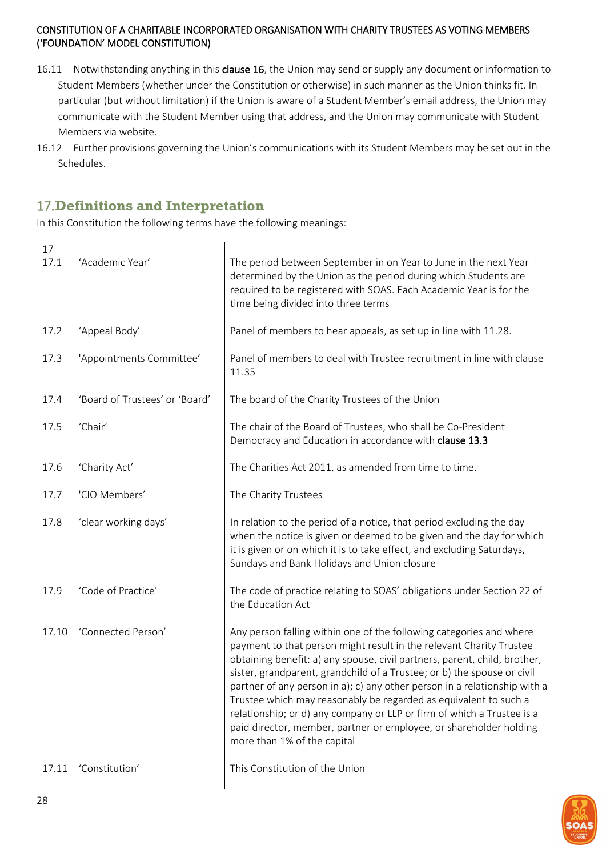- 16.11 Notwithstanding anything in this clause 16, the Union may send or supply any document or information to Student Members (whether under the Constitution or otherwise) in such manner as the Union thinks fit. In particular (but without limitation) if the Union is aware of a Student Member's email address, the Union may communicate with the Student Member using that address, and the Union may communicate with Student Members via website.
- 16.12 Further provisions governing the Union's communications with its Student Members may be set out in the Schedules.

# <span id="page-27-0"></span>17.**Definitions and Interpretation**

In this Constitution the following terms have the following meanings:

| 17<br>17.1 | 'Academic Year'                | The period between September in on Year to June in the next Year<br>determined by the Union as the period during which Students are<br>required to be registered with SOAS. Each Academic Year is for the<br>time being divided into three terms                                                                                                                                                                                                                                                                                                                                                                                   |
|------------|--------------------------------|------------------------------------------------------------------------------------------------------------------------------------------------------------------------------------------------------------------------------------------------------------------------------------------------------------------------------------------------------------------------------------------------------------------------------------------------------------------------------------------------------------------------------------------------------------------------------------------------------------------------------------|
| 17.2       | 'Appeal Body'                  | Panel of members to hear appeals, as set up in line with 11.28.                                                                                                                                                                                                                                                                                                                                                                                                                                                                                                                                                                    |
| 17.3       | 'Appointments Committee'       | Panel of members to deal with Trustee recruitment in line with clause<br>11.35                                                                                                                                                                                                                                                                                                                                                                                                                                                                                                                                                     |
| 17.4       | 'Board of Trustees' or 'Board' | The board of the Charity Trustees of the Union                                                                                                                                                                                                                                                                                                                                                                                                                                                                                                                                                                                     |
| 17.5       | 'Chair'                        | The chair of the Board of Trustees, who shall be Co-President<br>Democracy and Education in accordance with clause 13.3                                                                                                                                                                                                                                                                                                                                                                                                                                                                                                            |
| 17.6       | 'Charity Act'                  | The Charities Act 2011, as amended from time to time.                                                                                                                                                                                                                                                                                                                                                                                                                                                                                                                                                                              |
| 17.7       | 'CIO Members'                  | The Charity Trustees                                                                                                                                                                                                                                                                                                                                                                                                                                                                                                                                                                                                               |
| 17.8       | 'clear working days'           | In relation to the period of a notice, that period excluding the day<br>when the notice is given or deemed to be given and the day for which<br>it is given or on which it is to take effect, and excluding Saturdays,<br>Sundays and Bank Holidays and Union closure                                                                                                                                                                                                                                                                                                                                                              |
| 17.9       | 'Code of Practice'             | The code of practice relating to SOAS' obligations under Section 22 of<br>the Education Act                                                                                                                                                                                                                                                                                                                                                                                                                                                                                                                                        |
| 17.10      | 'Connected Person'             | Any person falling within one of the following categories and where<br>payment to that person might result in the relevant Charity Trustee<br>obtaining benefit: a) any spouse, civil partners, parent, child, brother,<br>sister, grandparent, grandchild of a Trustee; or b) the spouse or civil<br>partner of any person in a); c) any other person in a relationship with a<br>Trustee which may reasonably be regarded as equivalent to such a<br>relationship; or d) any company or LLP or firm of which a Trustee is a<br>paid director, member, partner or employee, or shareholder holding<br>more than 1% of the capital |
| 17.11      | 'Constitution'                 | This Constitution of the Union                                                                                                                                                                                                                                                                                                                                                                                                                                                                                                                                                                                                     |

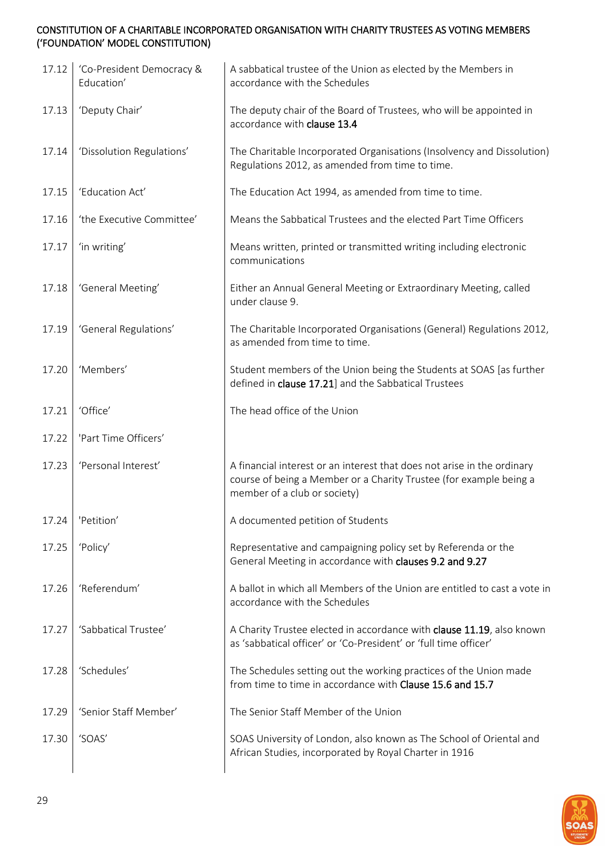| 17.12 | 'Co-President Democracy &<br>Education' | A sabbatical trustee of the Union as elected by the Members in<br>accordance with the Schedules                                                                               |
|-------|-----------------------------------------|-------------------------------------------------------------------------------------------------------------------------------------------------------------------------------|
| 17.13 | 'Deputy Chair'                          | The deputy chair of the Board of Trustees, who will be appointed in<br>accordance with clause 13.4                                                                            |
| 17.14 | 'Dissolution Regulations'               | The Charitable Incorporated Organisations (Insolvency and Dissolution)<br>Regulations 2012, as amended from time to time.                                                     |
| 17.15 | 'Education Act'                         | The Education Act 1994, as amended from time to time.                                                                                                                         |
| 17.16 | 'the Executive Committee'               | Means the Sabbatical Trustees and the elected Part Time Officers                                                                                                              |
| 17.17 | 'in writing'                            | Means written, printed or transmitted writing including electronic<br>communications                                                                                          |
| 17.18 | 'General Meeting'                       | Either an Annual General Meeting or Extraordinary Meeting, called<br>under clause 9.                                                                                          |
| 17.19 | 'General Regulations'                   | The Charitable Incorporated Organisations (General) Regulations 2012,<br>as amended from time to time.                                                                        |
| 17.20 | 'Members'                               | Student members of the Union being the Students at SOAS [as further<br>defined in clause 17.21] and the Sabbatical Trustees                                                   |
| 17.21 | 'Office'                                | The head office of the Union                                                                                                                                                  |
| 17.22 | 'Part Time Officers'                    |                                                                                                                                                                               |
| 17.23 | 'Personal Interest'                     | A financial interest or an interest that does not arise in the ordinary<br>course of being a Member or a Charity Trustee (for example being a<br>member of a club or society) |
| 17.24 | 'Petition'                              | A documented petition of Students                                                                                                                                             |
| 17.25 | 'Policy'                                | Representative and campaigning policy set by Referenda or the<br>General Meeting in accordance with clauses 9.2 and 9.27                                                      |
| 17.26 | 'Referendum'                            | A ballot in which all Members of the Union are entitled to cast a vote in<br>accordance with the Schedules                                                                    |
| 17.27 | 'Sabbatical Trustee'                    | A Charity Trustee elected in accordance with clause 11.19, also known<br>as 'sabbatical officer' or 'Co-President' or 'full time officer'                                     |
| 17.28 | 'Schedules'                             | The Schedules setting out the working practices of the Union made<br>from time to time in accordance with Clause 15.6 and 15.7                                                |
| 17.29 | 'Senior Staff Member'                   | The Senior Staff Member of the Union                                                                                                                                          |
| 17.30 | 'SOAS'                                  | SOAS University of London, also known as The School of Oriental and<br>African Studies, incorporated by Royal Charter in 1916                                                 |